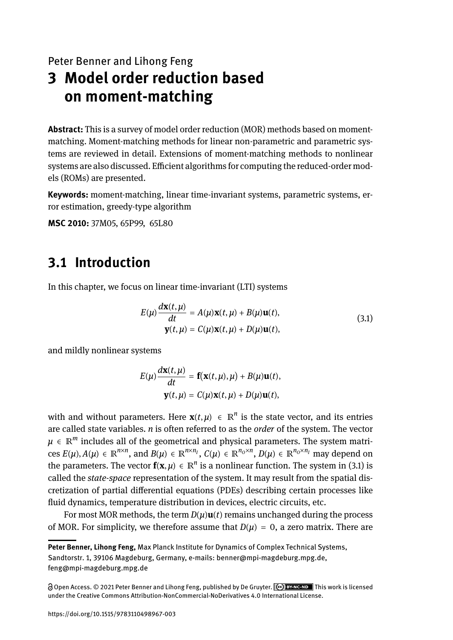Peter Benner and Lihong Feng

# **3 Model order reduction based on moment-matching**

**Abstract:** This is a survey of model order reduction (MOR) methods based on momentmatching. Moment-matching methods for linear non-parametric and parametric systems are reviewed in detail. Extensions of moment-matching methods to nonlinear systems are also discussed. Efficient algorithms for computing the reduced-order models (ROMs) are presented.

**Keywords:** moment-matching, linear time-invariant systems, parametric systems, error estimation, greedy-type algorithm

**MSC 2010:** 37M05, 65P99, 65L80

# **3.1 Introduction**

In this chapter, we focus on linear time-invariant (LTI) systems

$$
E(\mu)\frac{d\mathbf{x}(t,\mu)}{dt} = A(\mu)\mathbf{x}(t,\mu) + B(\mu)\mathbf{u}(t),
$$
  

$$
\mathbf{y}(t,\mu) = C(\mu)\mathbf{x}(t,\mu) + D(\mu)\mathbf{u}(t),
$$
 (3.1)

and mildly nonlinear systems

$$
E(\mu)\frac{d\mathbf{x}(t,\mu)}{dt} = \mathbf{f}(\mathbf{x}(t,\mu),\mu) + B(\mu)\mathbf{u}(t),
$$

$$
\mathbf{y}(t,\mu) = C(\mu)\mathbf{x}(t,\mu) + D(\mu)\mathbf{u}(t),
$$

with and without parameters. Here  $\mathbf{x}(t, \mu) \in \mathbb{R}^n$  is the state vector, and its entries are called state variables. *n* is often referred to as the *order* of the system. The vector  $\mu\,\in\,\mathbb{R}^m$  includes all of the geometrical and physical parameters. The system matrices  $E(\mu), A(\mu) \in \mathbb{R}^{n \times n}$ , and  $B(\mu) \in \mathbb{R}^{n \times n_I}$ ,  $C(\mu) \in \mathbb{R}^{n_O \times n}$ ,  $D(\mu) \in \mathbb{R}^{n_O \times n_I}$  may depend on the parameters. The vector  $f(x, \mu) \in \mathbb{R}^n$  is a nonlinear function. The system in (3.1) is called the *state-space* representation of the system. It may result from the spatial discretization of partial differential equations (PDEs) describing certain processes like fluid dynamics, temperature distribution in devices, electric circuits, etc.

For most MOR methods, the term  $D(\mu)$ **u**(*t*) remains unchanged during the process of MOR. For simplicity, we therefore assume that  $D(\mu) = 0$ , a zero matrix. There are

**Peter Benner, Lihong Feng,** Max Planck Institute for Dynamics of Complex Technical Systems, Sandtorstr. 1, 39106 Magdeburg, Germany, e-mails: benner@mpi-magdeburg.mpg.de, feng@mpi-magdeburg.mpg.de

Open Access. © 2021 Peter Benner and Lihong Feng, published by De Gruyter. This work is licensed under the Creative Commons Attribution-NonCommercial-NoDerivatives 4.0 International License.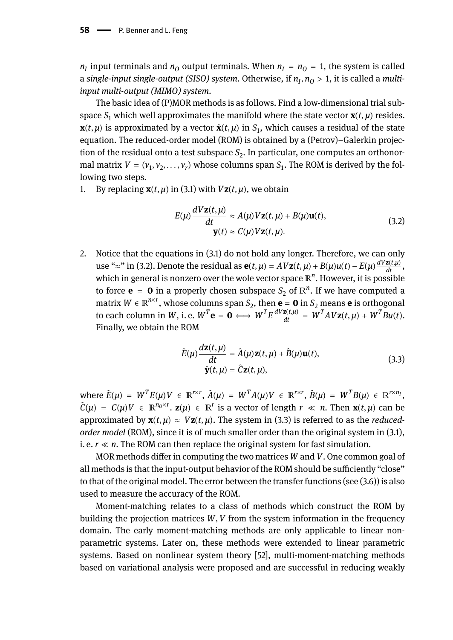$n_I$  input terminals and  $n_O$  output terminals. When  $n_I = n_O = 1$ , the system is called a *single-input single-output (SISO) system*. Otherwise, if *n<sup>I</sup>* , *n<sup>O</sup>* > 1, it is called a *multiinput multi-output (MIMO) system*.

The basic idea of (P)MOR methods is as follows. Find a low-dimensional trial subspace  $S_1$  which well approximates the manifold where the state vector  $\mathbf{x}(t, \mu)$  resides.  $\mathbf{x}(t, \mu)$  is approximated by a vector  $\hat{\mathbf{x}}(t, \mu)$  in  $S_1$ , which causes a residual of the state equation. The reduced-order model (ROM) is obtained by a (Petrov)–Galerkin projection of the residual onto a test subspace  $S_2$ . In particular, one computes an orthonormal matrix  $V = (v_1, v_2, \ldots, v_r)$  whose columns span  $S_1$ . The ROM is derived by the following two steps.

1. By replacing  $\mathbf{x}(t, \mu)$  in (3.1) with  $V\mathbf{z}(t, \mu)$ , we obtain

$$
E(\mu) \frac{dVz(t,\mu)}{dt} \approx A(\mu)Vz(t,\mu) + B(\mu)u(t),
$$
  
 
$$
\mathbf{y}(t) \approx C(\mu)Vz(t,\mu).
$$
 (3.2)

2. Notice that the equations in (3.1) do not hold any longer. Therefore, we can only  $\text{use } \text{``}\approx\text{''} \text{ in (3.2).}$  Denote the residual as  $\mathbf{e}(t, \mu) = AV\mathbf{z}(t, \mu) + B(\mu)u(t) - E(\mu)\frac{dV\mathbf{z}(t, \mu)}{dt}$ , which in general is nonzero over the wole vector space ℝ *n* . However, it is possible to force **e** = **0** in a properly chosen subspace  $S_2$  of  $\mathbb{R}^n$ . If we have computed a matrix  $W \in \mathbb{R}^{n \times r}$ , whose columns span  $S_2$ , then  $\mathbf{e} = \mathbf{0}$  in  $S_2$  means  $\mathbf{e}$  is orthogonal to each column in W, i.e.  $W^T \mathbf{e} = \mathbf{0} \Longleftrightarrow W^T E \frac{dVz(t,\mu)}{dt} = W^T A V z(t,\mu) + W^T B u(t)$ . Finally, we obtain the ROM

$$
\hat{E}(\mu) \frac{d\mathbf{z}(t,\mu)}{dt} = \hat{A}(\mu)\mathbf{z}(t,\mu) + \hat{B}(\mu)\mathbf{u}(t),
$$
\n
$$
\hat{\mathbf{y}}(t,\mu) = \hat{C}\mathbf{z}(t,\mu),
$$
\n(3.3)

where  $\hat{E}(\mu) = W^T E(\mu) V \in \mathbb{R}^{r \times r}$ ,  $\hat{A}(\mu) = W^T A(\mu) V \in \mathbb{R}^{r \times r}$ ,  $\hat{B}(\mu) = W^T B(\mu) \in \mathbb{R}^{r \times n_I}$ ,  $\hat{C}(\mu) = C(\mu)V \in \mathbb{R}^{n_0 \times r}$ .  $\mathbf{z}(\mu) \in \mathbb{R}^r$  is a vector of length  $r \ll n$ . Then  $\mathbf{x}(t, \mu)$  can be approximated by  $\mathbf{x}(t, \mu) \approx V\mathbf{z}(t, \mu)$ . The system in (3.3) is referred to as the *reducedorder model* (ROM), since it is of much smaller order than the original system in (3.1), i. e.  $r \ll n$ . The ROM can then replace the original system for fast simulation.

MOR methods differ in computing the two matrices *W* and *V*. One common goal of all methods is that the input-output behavior of the ROM should be sufficiently "close" to that of the original model. The error between the transfer functions (see (3.6)) is also used to measure the accuracy of the ROM.

Moment-matching relates to a class of methods which construct the ROM by building the projection matrices *W*, *V* from the system information in the frequency domain. The early moment-matching methods are only applicable to linear nonparametric systems. Later on, these methods were extended to linear parametric systems. Based on nonlinear system theory [52], multi-moment-matching methods based on variational analysis were proposed and are successful in reducing weakly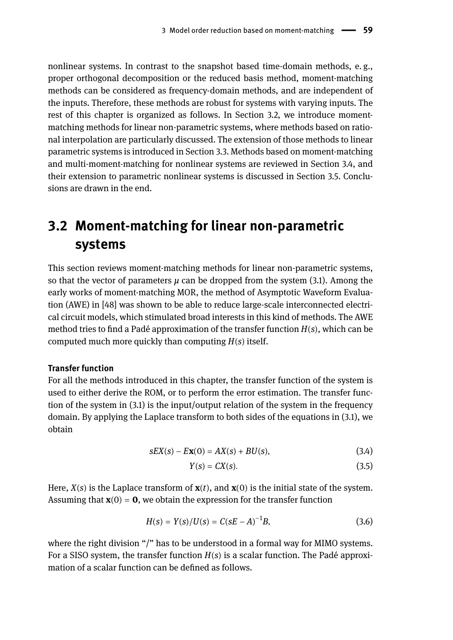nonlinear systems. In contrast to the snapshot based time-domain methods, e. g., proper orthogonal decomposition or the reduced basis method, moment-matching methods can be considered as frequency-domain methods, and are independent of the inputs. Therefore, these methods are robust for systems with varying inputs. The rest of this chapter is organized as follows. In Section 3.2, we introduce momentmatching methods for linear non-parametric systems, where methods based on rational interpolation are particularly discussed. The extension of those methods to linear parametric systems is introduced in Section 3.3. Methods based on moment-matching and multi-moment-matching for nonlinear systems are reviewed in Section 3.4, and their extension to parametric nonlinear systems is discussed in Section 3.5. Conclusions are drawn in the end.

# **3.2 Moment-matching for linear non-parametric systems**

This section reviews moment-matching methods for linear non-parametric systems, so that the vector of parameters  $\mu$  can be dropped from the system (3.1). Among the early works of moment-matching MOR, the method of Asymptotic Waveform Evaluation (AWE) in [48] was shown to be able to reduce large-scale interconnected electrical circuit models, which stimulated broad interests in this kind of methods. The AWE method tries to find a Padé approximation of the transfer function *H*(*s*), which can be computed much more quickly than computing *H*(*s*) itself.

### **Transfer function**

For all the methods introduced in this chapter, the transfer function of the system is used to either derive the ROM, or to perform the error estimation. The transfer function of the system in (3.1) is the input/output relation of the system in the frequency domain. By applying the Laplace transform to both sides of the equations in (3.1), we obtain

$$
sEX(s) - EX(0) = AX(s) + BU(s),
$$
\n(3.4)

$$
Y(s) = CX(s). \tag{3.5}
$$

Here,  $X(s)$  is the Laplace transform of  $\mathbf{x}(t)$ , and  $\mathbf{x}(0)$  is the initial state of the system. Assuming that  $\mathbf{x}(0) = \mathbf{0}$ , we obtain the expression for the transfer function

$$
H(s) = Y(s)/U(s) = C(sE - A)^{-1}B,
$$
\n(3.6)

where the right division "/" has to be understood in a formal way for MIMO systems. For a SISO system, the transfer function *H*(*s*) is a scalar function. The Padé approximation of a scalar function can be defined as follows.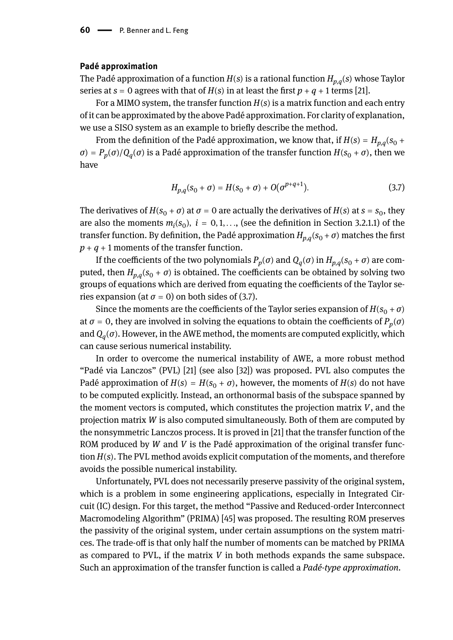#### **Padé approximation**

The Padé approximation of a function *H*(*s*) is a rational function *Hp*,*<sup>q</sup>* (*s*) whose Taylor series at  $s = 0$  agrees with that of  $H(s)$  in at least the first  $p + q + 1$  terms [21].

For a MIMO system, the transfer function  $H(s)$  is a matrix function and each entry of it can be approximated by the above Padé approximation. For clarity of explanation, we use a SISO system as an example to briefly describe the method.

From the definition of the Padé approximation, we know that, if  $H(s) = H_{p,q}(s_0 + \delta s)$ *σ*) =  $P_p(σ)/Q_q(σ)$  is a Padé approximation of the transfer function  $H(s_0 + σ)$ , then we have

$$
H_{p,q}(s_0 + \sigma) = H(s_0 + \sigma) + O(\sigma^{p+q+1}).
$$
\n(3.7)

The derivatives of  $H(s_0 + \sigma)$  at  $\sigma = 0$  are actually the derivatives of  $H(s)$  at  $s = s_0$ , they are also the moments  $m_i(s_0)$ ,  $i = 0, 1, \ldots$ , (see the definition in Section 3.2.1.1) of the transfer function. By definition, the Padé approximation  $H_{p,q}^{}(\boldsymbol{s}_0 + \sigma)$  matches the first  $p + q + 1$  moments of the transfer function.

If the coefficients of the two polynomials  $P_p(\sigma)$  and  $Q_q(\sigma)$  in  $H_{p,q}(s_0+\sigma)$  are computed, then  $H_{p,q}(s_0 + \sigma)$  is obtained. The coefficients can be obtained by solving two groups of equations which are derived from equating the coefficients of the Taylor series expansion (at  $\sigma = 0$ ) on both sides of (3.7).

Since the moments are the coefficients of the Taylor series expansion of  $H(s_0 + \sigma)$ at  $\sigma$  = 0, they are involved in solving the equations to obtain the coefficients of  $P_p(\sigma)$ and *Q<sup>q</sup>* (*σ*). However, in the AWE method, the moments are computed explicitly, which can cause serious numerical instability.

In order to overcome the numerical instability of AWE, a more robust method "Padé via Lanczos" (PVL) [21] (see also [32]) was proposed. PVL also computes the Padé approximation of  $H(s) = H(s_0 + \sigma)$ , however, the moments of  $H(s)$  do not have to be computed explicitly. Instead, an orthonormal basis of the subspace spanned by the moment vectors is computed, which constitutes the projection matrix *V*, and the projection matrix *W* is also computed simultaneously. Both of them are computed by the nonsymmetric Lanczos process. It is proved in [21] that the transfer function of the ROM produced by *W* and *V* is the Padé approximation of the original transfer function *H*(*s*). The PVL method avoids explicit computation of the moments, and therefore avoids the possible numerical instability.

Unfortunately, PVL does not necessarily preserve passivity of the original system, which is a problem in some engineering applications, especially in Integrated Circuit (IC) design. For this target, the method "Passive and Reduced-order Interconnect Macromodeling Algorithm" (PRIMA) [45] was proposed. The resulting ROM preserves the passivity of the original system, under certain assumptions on the system matrices. The trade-off is that only half the number of moments can be matched by PRIMA as compared to PVL, if the matrix *V* in both methods expands the same subspace. Such an approximation of the transfer function is called a *Padé-type approximation*.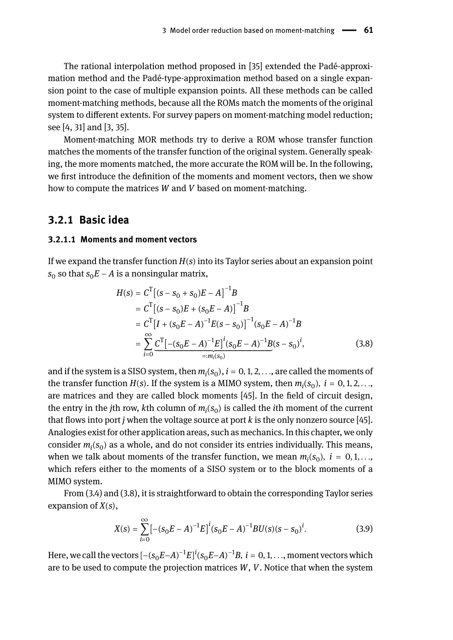The rational interpolation method proposed in [35] extended the Padé-approximation method and the Padé-type-approximation method based on a single expansion point to the case of multiple expansion points. All these methods can be called moment-matching methods, because all the ROMs match the moments of the original system to different extents. For survey papers on moment-matching model reduction; see [4, 31] and [3, 35].

Moment-matching MOR methods try to derive a ROM whose transfer function matches the moments of the transfer function of the original system. Generally speaking, the more moments matched, the more accurate the ROM will be. In the following, we first introduce the definition of the moments and moment vectors, then we show how to compute the matrices *W* and *V* based on moment-matching.

### **3.2.1 Basic idea**

### **3.2.1.1 Moments and moment vectors**

If we expand the transfer function *H*(*s*) into its Taylor series about an expansion point  $s_0$  so that  $s_0E$  –  $A$  is a nonsingular matrix,

$$
H(s) = C^{T}[(s - s_{0} + s_{0})E - A]^{-1}B
$$
  
\n
$$
= C^{T}[(s - s_{0})E + (s_{0}E - A)]^{-1}B
$$
  
\n
$$
= C^{T}[I + (s_{0}E - A)^{-1}E(s - s_{0})]^{-1}(s_{0}E - A)^{-1}B
$$
  
\n
$$
= \sum_{i=0}^{\infty} \underbrace{C^{T}[-(s_{0}E - A)^{-1}E]^{i}(s_{0}E - A)^{-1}B(s - s_{0})^{i}}_{=:m_{i}(s_{0})},
$$
\n(3.8)

and if the system is a SISO system, then  $m_i(s_0)$ ,  $i = 0, 1, 2, \ldots$ , are called the moments of the transfer function  $H(s)$ . If the system is a MIMO system, then  $m_i(s_0)$ ,  $i = 0, 1, 2, \ldots$ are matrices and they are called block moments [45]. In the field of circuit design, the entry in the *j*th row,  $k$ th column of  $m_i(s_0)$  is called the *i*th moment of the current that flows into port *j* when the voltage source at port *k* is the only nonzero source [45]. Analogies exist for other application areas, such as mechanics. In this chapter, we only consider *m<sup>i</sup>* (*s*<sup>0</sup> ) as a whole, and do not consider its entries individually. This means, when we talk about moments of the transfer function, we mean  $m_i(s_0)$ ,  $i = 0, 1, \ldots$ , which refers either to the moments of a SISO system or to the block moments of a MIMO system.

From (3.4) and (3.8), it is straightforward to obtain the corresponding Taylor series expansion of *X*(*s*),

$$
X(s) = \sum_{i=0}^{\infty} \left[ -(s_0 E - A)^{-1} E \right]^i (s_0 E - A)^{-1} B U(s) (s - s_0)^i.
$$
 (3.9)

Here, we call the vectors  $[-(s_0E-A)^{-1}E]^i(s_0E-A)^{-1}B$ ,  $i=0,1,\ldots,$  moment vectors which are to be used to compute the projection matrices *W*, *V*. Notice that when the system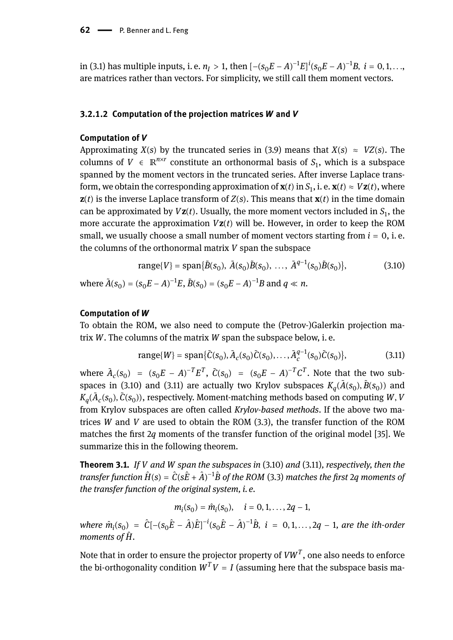in (3.1) has multiple inputs, i. e. *n*<sub>*I*</sub> > 1, then  $[-(s_0E - A)^{-1}E]^i(s_0E - A)^{-1}B$ , *i* = 0, 1, ..., are matrices rather than vectors. For simplicity, we still call them moment vectors.

#### **3.2.1.2 Computation of the projection matrices** *W* **and** *V*

#### **Computation of** *V*

Approximating *X*(*s*) by the truncated series in (3.9) means that *X*(*s*)  $\approx$  *VZ*(*s*). The columns of  $V \in \mathbb{R}^{n \times r}$  constitute an orthonormal basis of  $S_1$ , which is a subspace spanned by the moment vectors in the truncated series. After inverse Laplace transform, we obtain the corresponding approximation of  $\mathbf{x}(t)$  in  $S_1$ , i. e.  $\mathbf{x}(t) \approx V\mathbf{z}(t)$ , where  $z(t)$  is the inverse Laplace transform of  $Z(s)$ . This means that  $x(t)$  in the time domain can be approximated by  $V$ **z**( $t$ ). Usually, the more moment vectors included in  $S_1$ , the more accurate the approximation  $Vz(t)$  will be. However, in order to keep the ROM small, we usually choose a small number of moment vectors starting from  $i = 0$ , *i.e.* the columns of the orthonormal matrix *V* span the subspace

range{*V*} = span{
$$
\tilde{B}(s_0)
$$
,  $\tilde{A}(s_0)\tilde{B}(s_0)$ , ...,  $\tilde{A}^{q-1}(s_0)\tilde{B}(s_0)$ }, (3.10)

where  $\tilde{A}(s_0) = (s_0 E - A)^{-1} E$ ,  $\tilde{B}(s_0) = (s_0 E - A)^{-1} B$  and  $q \ll n$ .

#### **Computation of** *W*

To obtain the ROM, we also need to compute the (Petrov-)Galerkin projection matrix *W*. The columns of the matrix *W* span the subspace below, i. e.

range
$$
\{W\}
$$
 = span $\{\tilde{C}(s_0), \tilde{A}_c(s_0)\tilde{C}(s_0), \dots, \tilde{A}_c^{q-1}(s_0)\tilde{C}(s_0)\},$  (3.11)

where  $\tilde{A}_c(s_0) = (s_0 E - A)^{-T} E^T$ ,  $\tilde{C}(s_0) = (s_0 E - A)^{-T} C^T$ . Note that the two subspaces in (3.10) and (3.11) are actually two Krylov subspaces  $K_q(\tilde{A}(s_0),\tilde{B}(s_0))$  and  $K_q(\tilde{A}_c(s_0),\tilde{C}(s_0))$ , respectively. Moment-matching methods based on computing *W*, *V* from Krylov subspaces are often called *Krylov-based methods*. If the above two matrices *W* and *V* are used to obtain the ROM (3.3), the transfer function of the ROM matches the first 2*q* moments of the transfer function of the original model [35]. We summarize this in the following theorem.

**Theorem 3.1.** *If V and W span the subspaces in* (3.10) *and* (3.11)*, respectively, then the transfer function*  $\hat{H}(\textbf{s})=\hat{C}(\textbf{s}\hat{E}+\hat{A})^{-1}\hat{B}$  *of the ROM (3.3) matches the first 2q moments of the transfer function of the original system, i. e.*

 $m_i(s_0) = \hat{m}_i(s_0), \quad i = 0, 1, \dots, 2q - 1,$ 

 $where \hat{m}_i(s_0) = \hat{C}[-(s_0\hat{E} - \hat{A})\hat{E}]^{-i}(s_0\hat{E} - \hat{A})^{-1}\hat{B}, i = 0, 1, ..., 2q - 1, are the ith-order$ *moments of H.*̂

Note that in order to ensure the projector property of  $VW^T$ , one also needs to enforce the bi-orthogonality condition  $W^T V = I$  (assuming here that the subspace basis ma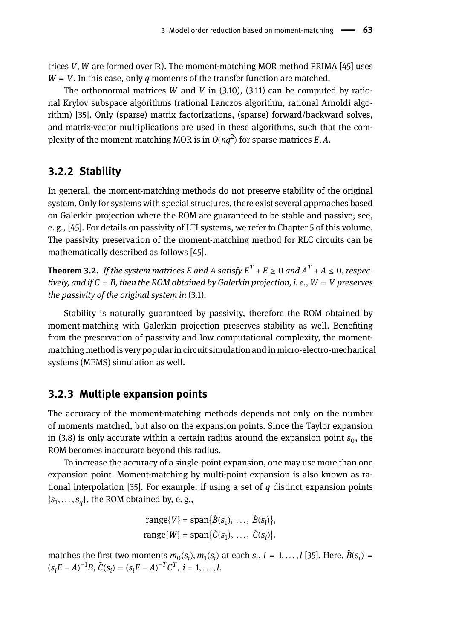trices *V*, *W* are formed over ℝ). The moment-matching MOR method PRIMA [45] uses  $W = V$ . In this case, only *q* moments of the transfer function are matched.

The orthonormal matrices *W* and *V* in (3.10), (3.11) can be computed by rational Krylov subspace algorithms (rational Lanczos algorithm, rational Arnoldi algorithm) [35]. Only (sparse) matrix factorizations, (sparse) forward/backward solves, and matrix-vector multiplications are used in these algorithms, such that the complexity of the moment-matching MOR is in  $O(nq^2)$  for sparse matrices  $E, A$ .

### **3.2.2 Stability**

In general, the moment-matching methods do not preserve stability of the original system. Only for systems with special structures, there exist several approaches based on Galerkin projection where the ROM are guaranteed to be stable and passive; see, e. g., [45]. For details on passivity of LTI systems, we refer to Chapter 5 of this volume. The passivity preservation of the moment-matching method for RLC circuits can be mathematically described as follows [45].

**Theorem 3.2.** *If the system matrices E and A satisfy*  $E^T + E \ge 0$  *and*  $A^T + A \le 0$ *, respectively, and if C* = *B, then the ROM obtained by Galerkin projection, i. e., W* = *V preserves the passivity of the original system in* (3.1)*.*

Stability is naturally guaranteed by passivity, therefore the ROM obtained by moment-matching with Galerkin projection preserves stability as well. Benefiting from the preservation of passivity and low computational complexity, the momentmatching method is very popular in circuit simulation and in micro-electro-mechanical systems (MEMS) simulation as well.

### **3.2.3 Multiple expansion points**

The accuracy of the moment-matching methods depends not only on the number of moments matched, but also on the expansion points. Since the Taylor expansion in (3.8) is only accurate within a certain radius around the expansion point  $s_0$ , the ROM becomes inaccurate beyond this radius.

To increase the accuracy of a single-point expansion, one may use more than one expansion point. Moment-matching by multi-point expansion is also known as rational interpolation [35]. For example, if using a set of *q* distinct expansion points  $\{s_1, \ldots, s_q\}$ , the ROM obtained by, e. g.,

$$
range{V} = span{\tilde{B}(s_1), \ldots, \tilde{B}(s_l)},
$$
  

$$
range{W} = span{\tilde{C}(s_1), \ldots, \tilde{C}(s_l)},
$$

matches the first two moments  $m_0(s_i)$ ,  $m_1(s_i)$  at each  $s_i$ ,  $i = 1, \ldots, l$  [35]. Here,  $\tilde{B}(s_i) =$  $(s_iE - A)^{-1}B$ ,  $\tilde{C}(s_i) = (s_iE - A)^{-T}C^T$ ,  $i = 1, ..., l$ .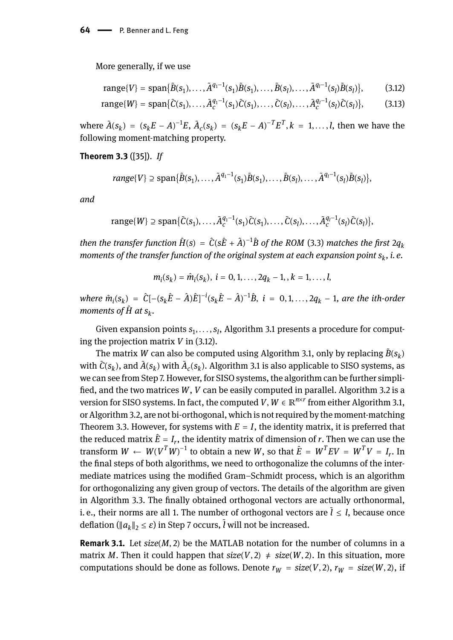64 - P. Benner and L. Feng

More generally, if we use

range{*V*} = span{
$$
\tilde{B}(s_1), \ldots, \tilde{A}^{q_1-1}(s_1)\tilde{B}(s_1), \ldots, \tilde{B}(s_l), \ldots, \tilde{A}^{q_l-1}(s_l)\tilde{B}(s_l)
$$
}, (3.12)

range{*W*} = span{
$$
\tilde{C}(s_1), \ldots, \tilde{A}_c^{q_1-1}(s_1)\tilde{C}(s_1), \ldots, \tilde{C}(s_l), \ldots, \tilde{A}_c^{q_1-1}(s_l)\tilde{C}(s_l)
$$
}, (3.13)

where  $\tilde{A}(s_k) = (s_k E - A)^{-1} E$ ,  $\tilde{A}_c(s_k) = (s_k E - A)^{-T} E^T$ ,  $k = 1, ..., l$ , then we have the following moment-matching property.

**Theorem 3.3** ([35]). *If*

$$
range{V} \supseteq span{\tilde{B}(s_1),\ldots,\tilde{A}^{q_1-1}(s_1)\tilde{B}(s_1),\ldots,\tilde{B}(s_l),\ldots,\tilde{A}^{q_l-1}(s_l)\tilde{B}(s_l)},
$$

*and*

$$
\text{range}\{W\} \supseteq \text{span}\{\tilde{C}(s_1),\ldots,\tilde{A}_c^{q_1-1}(s_1)\tilde{C}(s_1),\ldots,\tilde{C}(s_l),\ldots,\tilde{A}_c^{q_l-1}(s_l)\tilde{C}(s_l)\},
$$

*then the transfer function*  $\hat{H}(s) = \hat{C}(s\hat{E} + \hat{A})^{-1}\hat{B}$  *of the ROM (3.3) matches the first 2* $q_k$ *moments of the transfer function of the original system at each expansion point s<sup>k</sup> , i. e.*

$$
m_i(s_k) = \hat{m}_i(s_k), i = 0, 1, ..., 2q_k - 1, , k = 1, ..., l,
$$

where  $\hat{m}_i(s_k) = \hat{C}[-(s_k\hat{E} - \hat{A})\hat{E}]^{-i}(s_k\hat{E} - \hat{A})^{-1}\hat{B}$ ,  $i = 0, 1, ..., 2q_k - 1$ , are the ith-order *moments of*  $\hat{H}$  *at s<sub>k</sub>.* 

Given expansion points  $s_1, \ldots, s_l$ , Algorithm 3.1 presents a procedure for computing the projection matrix *V* in (3.12).

The matrix  $W$  can also be computed using Algorithm 3.1, only by replacing  $\tilde{B}(s_k)$ with  $\tilde{C}(s_k)$ , and  $\tilde{A}(s_k)$  with  $\tilde{A}_c(s_k)$ . Algorithm 3.1 is also applicable to SISO systems, as we can see from Step 7. However, for SISO systems, the algorithm can be further simplified, and the two matrices *W*, *V* can be easily computed in parallel. Algorithm 3.2 is a version for SISO systems. In fact, the computed *V*,  $W \in \mathbb{R}^{n \times r}$  from either Algorithm 3.1, or Algorithm 3.2, are not bi-orthogonal, which is not required by the moment-matching Theorem 3.3. However, for systems with  $E = I$ , the identity matrix, it is preferred that the reduced matrix  $\hat{E} = I_r$ , the identity matrix of dimension of *r*. Then we can use the transform  $W \leftarrow W(V^TW)^{-1}$  to obtain a new W, so that  $\hat{E} = W^TEV = W^TV = I_r$ . In the final steps of both algorithms, we need to orthogonalize the columns of the intermediate matrices using the modified Gram–Schmidt process, which is an algorithm for orthogonalizing any given group of vectors. The details of the algorithm are given in Algorithm 3.3. The finally obtained orthogonal vectors are actually orthonormal, i. e., their norms are all 1. The number of orthogonal vectors are  $\tilde{l} \leq l$ , because once deflation ( $||a_k||_2 \leq \varepsilon$ ) in Step 7 occurs,  $\tilde{l}$  will not be increased.

**Remark 3.1.** Let *size*(*M*, 2) be the MATLAB notation for the number of columns in a matrix *M*. Then it could happen that  $size(V, 2) \neq size(W, 2)$ . In this situation, more computations should be done as follows. Denote  $r_W = size(V, 2)$ ,  $r_W = size(W, 2)$ , if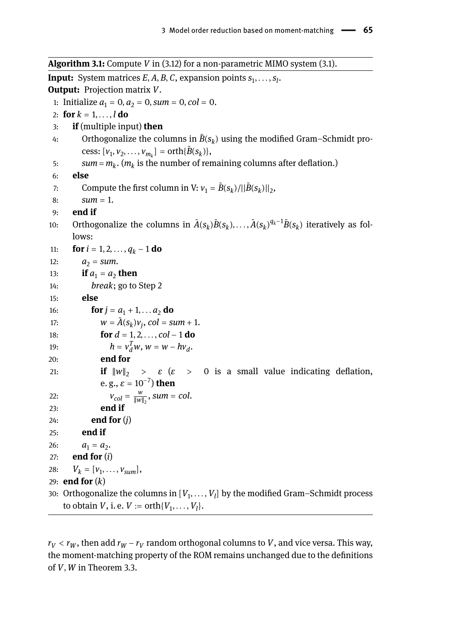**Algorithm 3.1:** Compute *V* in (3.12) for a non-parametric MIMO system (3.1). **Input:** System matrices  $E$ ,  $A$ ,  $B$ ,  $C$ , expansion points  $s_1, \ldots, s_l$ . **Output:** Projection matrix *V*. 1: Initialize  $a_1 = 0$ ,  $a_2 = 0$ , *sum* = 0, *col* = 0. 2: **for**  $k = 1, ..., l$  **do** 3: **if** (multiple input) **then** 4: Orthogonalize the columns in  $\tilde{B}(s_k)$  using the modified Gram–Schmidt process:  $[v_1, v_2, ..., v_{m_k}] = \text{orth}\{\tilde{B}(s_k)\},\$ 5:  $sum = m_k$ .  $(m_k$  is the number of remaining columns after deflation.) 6: **else** 7: Compute the first column in V:  $v_1 = \tilde{B}(s_k)/||\tilde{B}(s_k)||_2$ , 8:  $sum = 1$ . 9: **end if** 10: Orthogonalize the columns in  $\tilde{A}(s_k)\tilde{B}(s_k), \ldots, \tilde{A}(s_k)^{q_k-1}\tilde{B}(s_k)$  iteratively as follows: 11: **for**  $i = 1, 2, ..., q_k - 1$  **do** 12:  $a_2 = sum.$ 13: **if**  $a_1 = a_2$  **then** 14: *break*; go to Step 2 15: **else** 16: **for**  $j = a_1 + 1, \ldots, a_2$  **do** 17:  $w = \tilde{A}(s_k)v_j$ ,  $col = sum + 1$ . 18: **for** *d* = 1, 2, . . . , *col* − 1 **do** 19:  $h = v_d^T w, w = w - h v_d^T$ . 20: **end for** 21: **if**  $\|w\|_2$  >  $\varepsilon$  ( $\varepsilon$  > 0 is a small value indicating deflation,

```
e. g., \varepsilon = 10^{-7}) then
22: V_{col} = \frac{w}{\|w\|}\frac{w}{\|w\|_2}, sum = col.
23: end if
```
24: **end for** (*j*)

```
25: end if
26: a_1 = a_2.
27: end for (i)
28: V_k = [v_1, \ldots, v_{sum}],29: end for (k)
30: Orthogonalize the columns in [V_1, \ldots, V_l] by the modified Gram–Schmidt process
    to obtain V, i. e. V := \text{orth}\{V_1, \ldots, V_l\}.
```
 $r_V < r_W$ , then add  $r_W$  –  $r_V$  random orthogonal columns to  $V$ , and vice versa. This way, the moment-matching property of the ROM remains unchanged due to the definitions of *V*, *W* in Theorem 3.3.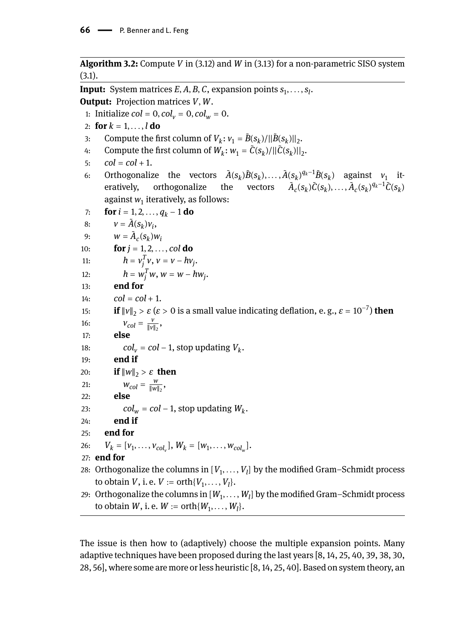**Algorithm 3.2:** Compute *V* in (3.12) and *W* in (3.13) for a non-parametric SISO system (3.1).

**Input:** System matrices  $E$ ,  $A$ ,  $B$ ,  $C$ , expansion points  $s_1, \ldots, s_l$ . **Output:** Projection matrices *V*, *W*. 1: Initialize *col* = 0, *col*<sub>*v*</sub> = 0, *col*<sub>*w*</sub> = 0. 2: **for**  $k = 1, ..., l$  **do** 3: Compute the first column of  $V_k: v_1 = \tilde{B}(s_k)/||\tilde{B}(s_k)||_2$ . 4: Compute the first column of  $W_k$ :  $w_1 = \tilde{C}(s_k)/||\tilde{C}(s_k)||_2$ . 5:  $col = col + 1$ . 6: Orthogonalize the vectors  $\tilde{A}(s_k)\tilde{B}(s_k), \ldots, \tilde{A}(s_k)^{q_k-1}\tilde{B}(s_k)$  against  $v_1$  iteratively, orthogonalize the  $\tilde{C}(s_k) \tilde{C}(s_k), \ldots, \tilde{A}_c(s_k)^{q_k-1} \tilde{C}(s_k)$ against  $w_1$  iteratively, as follows: 7: **for**  $i = 1, 2, ..., q_k - 1$  **do** 8:  $v = \tilde{A}(s_k)v_i$ 9:  $W = \tilde{A}_c(s_k)W_i$ 10: **for**  $j = 1, 2, ..., col$  **do** 11:  $h = v_j^T v, v = v - hv_j.$ 12:  $h = w_j^T w, w = w - hw_j^T.$ 13: **end for** 14:  $col = col + 1$ . 15: **if**  $||v||_2 > \varepsilon$  ( $\varepsilon > 0$  is a small value indicating deflation, e.g.,  $\varepsilon = 10^{-7}$ ) **then** 16:  $V_{col} = \frac{V}{\|V\|}$  $\frac{\nu}{\|\nu\|_2}$ 17: **else** 18:  $col_v = col - 1$ , stop updating  $V_k$ . 19: **end if** 20: **if**  $\|w\|_2 > \varepsilon$  **then** 21:  $W_{col} = \frac{w}{\|w\|}$  $\frac{w}{\|w\|_2}$ 22: **else** 23:  $col_w = col - 1$ , stop updating  $W_k$ . 24: **end if** 25: **end for** 26:  $V_k = [v_1, \ldots, v_{col_v}], W_k = [w_1, \ldots, w_{col_w}].$ 27: **end for** 28:  $\,$  Orthogonalize the columns in  $[V_1,\ldots,V_l]$  by the modified Gram–Schmidt process to obtain *V*, i. e. *V* := orth $\{V_1, ..., V_l\}$ . 29:  $\,$  Orthogonalize the columns in  $[W_1,\ldots,W_l]$  by the modified Gram–Schmidt process to obtain *W*, i. e.  $W := \text{orth}\{W_1, \ldots, W_l\}.$ 

The issue is then how to (adaptively) choose the multiple expansion points. Many adaptive techniques have been proposed during the last years [8, 14, 25, 40, 39, 38, 30, 28, 56], where some are more or less heuristic [8, 14, 25, 40]. Based on system theory, an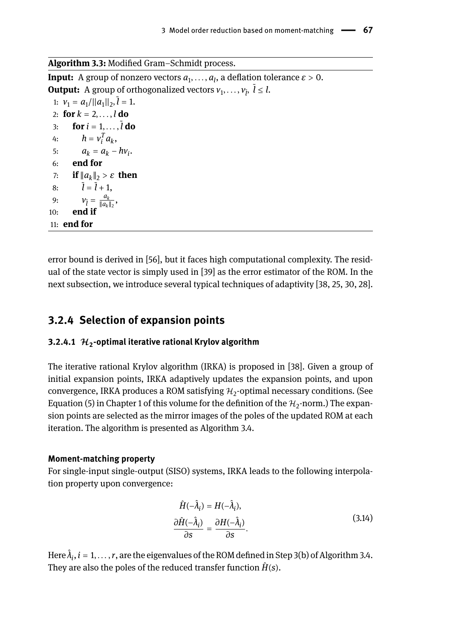**Algorithm 3.3:** Modified Gram–Schmidt process.

**Input:** A group of nonzero vectors  $a_1, \ldots, a_l$ , a deflation tolerance  $\varepsilon > 0$ . **Output:** A group of orthogonalized vectors  $v_1, \ldots, v_{\tilde{l}}, \tilde{l} \leq l$ . 1:  $v_1 = a_1 / ||a_1||_2$ ,  $\tilde{l} = 1$ . 2: **for**  $k = 2, ..., l$  **do** 3: **for** *i* = 1, . . . , ̃ *l* **do** 4:  $h = v_i^T a_k$ , 5:  $a_k = a_k - h v_i$ 6: **end for** 7: **if** ‖*a<sup>k</sup>* ‖<sup>2</sup> > *ε* **then** 8:  $\tilde{l} = \tilde{l} + 1$ , 9:  $V_{\tilde{l}} = \frac{a_k}{\|a_k\|}$  $\frac{a_k}{\|a_k\|_2}$ , 10: **end if** 11: **end for**

error bound is derived in [56], but it faces high computational complexity. The residual of the state vector is simply used in [39] as the error estimator of the ROM. In the next subsection, we introduce several typical techniques of adaptivity [38, 25, 30, 28].

## **3.2.4 Selection of expansion points**

## **3.2.4.1** ℋ**<sup>2</sup> -optimal iterative rational Krylov algorithm**

The iterative rational Krylov algorithm (IRKA) is proposed in [38]. Given a group of initial expansion points, IRKA adaptively updates the expansion points, and upon convergence, IRKA produces a ROM satisfying  $\mathcal{H}_2$ -optimal necessary conditions. (See Equation (5) in Chapter 1 of this volume for the definition of the  $\mathcal{H}_2$ -norm.) The expansion points are selected as the mirror images of the poles of the updated ROM at each iteration. The algorithm is presented as Algorithm 3.4.

### **Moment-matching property**

For single-input single-output (SISO) systems, IRKA leads to the following interpolation property upon convergence:

$$
\hat{H}(-\hat{\lambda}_i) = H(-\hat{\lambda}_i), \n\frac{\partial \hat{H}(-\hat{\lambda}_i)}{\partial s} = \frac{\partial H(-\hat{\lambda}_i)}{\partial s}.
$$
\n(3.14)

Here  $\hat{\lambda}_i$ ,  $i=1,\ldots,r$  , are the eigenvalues of the ROM defined in Step 3(b) of Algorithm 3.4. They are also the poles of the reduced transfer function  $\hat{H}(s)$ .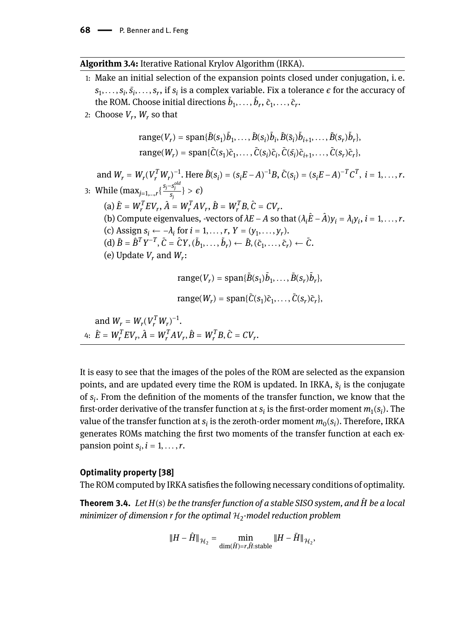### **Algorithm 3.4:** Iterative Rational Krylov Algorithm (IRKA).

- 1: Make an initial selection of the expansion points closed under conjugation, i. e.  $s_1, \ldots, s_i, \bar{s_i}, \ldots, s_r$ , if  $s_i$  is a complex variable. Fix a tolerance  $\epsilon$  for the accuracy of the ROM. Choose initial directions  $\tilde{b}_1, \ldots, \tilde{b}_r, \tilde{c}_1, \ldots, \tilde{c}_r$ .
- 2: Choose  $V_r$ ,  $W_r$  so that

$$
\text{range}(V_r) = \text{span}\{\tilde{B}(s_1)\tilde{b}_1, \dots, \tilde{B}(s_i)\tilde{b}_i, \tilde{B}(\bar{s}_i)\tilde{b}_{i+1}, \dots, \tilde{B}(s_r)\tilde{b}_r\},
$$
\n
$$
\text{range}(W_r) = \text{span}\{\tilde{C}(s_1)\tilde{c}_1, \dots, \tilde{C}(s_i)\tilde{c}_i, \tilde{C}(\bar{s}_i)\tilde{c}_{i+1}, \dots, \tilde{C}(s_r)\tilde{c}_r\},
$$

and  $W_r = W_r(V_r^TW_r)^{-1}$ . Here  $\tilde{B}(s_i) = (s_iE-A)^{-1}B$ ,  $\tilde{C}(s_i) = (s_iE-A)^{-T}C^T$ ,  $i = 1, ..., r$ . 3: While  $(\max_{j=1,...,r} {\frac{s_j - s_j^{old}}{s_j}} > \epsilon)$  $(\mathbf{a}) \hat{E} = W_r^T E V_r, \hat{A} = W_r^T A V_r, \hat{B} = W_r^T B, \hat{C} = C V_r.$ (b) Compute eigenvalues, -vectors of  $\lambda E - A$  so that  $(\lambda_i \hat{E} - \hat{A}) y_i = \lambda_i y_i$ ,  $i = 1, ..., r$ . (c) Assign  $s_i \leftarrow -\lambda_i$  for  $i = 1, \ldots, r$ ,  $Y = (y_1, \ldots, y_r)$ .  $(d) \tilde{B} = \hat{B}^T Y^{-T}, \tilde{C} = \hat{C} Y, (\tilde{b}_1, \dots, \tilde{b}_r) \leftarrow \tilde{B}, (\tilde{c}_1, \dots, \tilde{c}_r) \leftarrow \tilde{C}.$ (e) Update  $V_r$  and  $W_r$ :

$$
range(V_r) = span{\{\tilde{B}(s_1)\tilde{b}_1,\ldots,\tilde{B}(s_r)\tilde{b}_r\}},
$$

 $range(W_r) = span{\tilde{C}(s_1)\tilde{c}_1, \ldots, \tilde{C}(s_r)\tilde{c}_r},$ 

and  $W_r = W_r (V_r^T W_r)^{-1}$ .  $4: \ \hat{E} = W_r^T E V_r, \hat{A} = W_r^T A V_r, \hat{B} = W_r^T B, \hat{C} = C V_r.$ 

It is easy to see that the images of the poles of the ROM are selected as the expansion points, and are updated every time the ROM is updated. In IRKA, *s*̄ *i* is the conjugate of *s<sup>i</sup>* . From the definition of the moments of the transfer function, we know that the first-order derivative of the transfer function at  $s_i$  is the first-order moment  $m_1(s_i).$  The value of the transfer function at  $s_i$  is the zeroth-order moment  $m_0(s_i)$ . Therefore, IRKA generates ROMs matching the first two moments of the transfer function at each expansion point  $s_i$ ,  $i = 1, \ldots, r$ .

### **Optimality property [38]**

The ROM computed by IRKA satisfies the following necessary conditions of optimality.

**Theorem 3.4.** *Let H*(*s*) *be the transfer function of a stable SISO system, and H be a local* ̂ minimizer of dimension r for the optimal  $\mathcal{H}_2$ -model reduction problem

$$
\|H-\hat{H}\|_{\mathcal{H}_2}=\min_{\dim(\tilde{H})=r,\tilde{H}:\text{stable}}\|H-\tilde{H}\|_{\mathcal{H}_2},
$$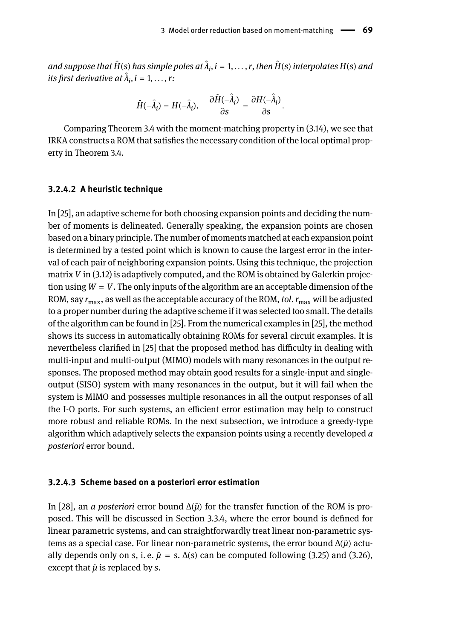$a$ nd suppose that  $\hat{H}$ (s) has simple poles at  $\hat{\lambda}_i$ ,  $i=1,\ldots,r$ , then  $\hat{H}$ (s) interpolates  $H$ (s) and *its first derivative at*  $\hat{\lambda}_i$ ,  $i = 1, \ldots, r$ :

$$
\hat{H}(-\hat{\lambda}_i) = H(-\hat{\lambda}_i), \quad \frac{\partial \hat{H}(-\hat{\lambda}_i)}{\partial s} = \frac{\partial H(-\hat{\lambda}_i)}{\partial s}.
$$

Comparing Theorem 3.4 with the moment-matching property in (3.14), we see that IRKA constructs a ROM that satisfies the necessary condition of the local optimal property in Theorem 3.4.

### **3.2.4.2 A heuristic technique**

In [25], an adaptive scheme for both choosing expansion points and deciding the number of moments is delineated. Generally speaking, the expansion points are chosen based on a binary principle. The number of moments matched at each expansion point is determined by a tested point which is known to cause the largest error in the interval of each pair of neighboring expansion points. Using this technique, the projection matrix *V* in (3.12) is adaptively computed, and the ROM is obtained by Galerkin projection using  $W = V$ . The only inputs of the algorithm are an acceptable dimension of the ROM, say *r*max, as well as the acceptable accuracy of the ROM, *tol*.*r*max will be adjusted to a proper number during the adaptive scheme if it was selected too small. The details of the algorithm can be found in [25]. From the numerical examples in [25], the method shows its success in automatically obtaining ROMs for several circuit examples. It is nevertheless clarified in [25] that the proposed method has difficulty in dealing with multi-input and multi-output (MIMO) models with many resonances in the output responses. The proposed method may obtain good results for a single-input and singleoutput (SISO) system with many resonances in the output, but it will fail when the system is MIMO and possesses multiple resonances in all the output responses of all the I-O ports. For such systems, an efficient error estimation may help to construct more robust and reliable ROMs. In the next subsection, we introduce a greedy-type algorithm which adaptively selects the expansion points using a recently developed *a posteriori* error bound.

#### **3.2.4.3 Scheme based on a posteriori error estimation**

In [28], an *a posteriori* error bound  $\Delta(\tilde{\mu})$  for the transfer function of the ROM is proposed. This will be discussed in Section 3.3.4, where the error bound is defined for linear parametric systems, and can straightforwardly treat linear non-parametric systems as a special case. For linear non-parametric systems, the error bound Δ(*μ*̃) actually depends only on *s*, i.e.  $\tilde{\mu} = s$ .  $\Delta(s)$  can be computed following (3.25) and (3.26), except that  $\tilde{\mu}$  is replaced by *s*.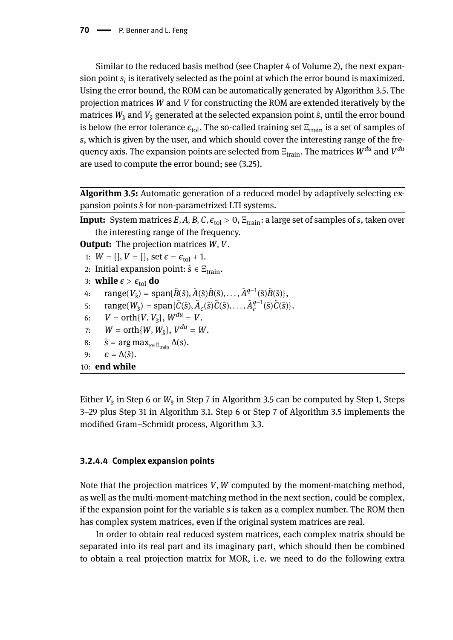Similar to the reduced basis method (see Chapter 4 of Volume 2), the next expan- $\sin p$  point  $s_i$  is iteratively selected as the point at which the error bound is maximized. Using the error bound, the ROM can be automatically generated by Algorithm 3.5. The projection matrices *W* and *V* for constructing the ROM are extended iteratively by the matrices  $W_{\hat{s}}$  and  $V_{\hat{s}}$  generated at the selected expansion point  $\hat{s}$ , until the error bound is below the error tolerance  $\epsilon_{\text{tol}}$ . The so-called training set  $\Xi_{\text{train}}$  is a set of samples of *s*, which is given by the user, and which should cover the interesting range of the frequency axis. The expansion points are selected from  $\Xi_{\text{train}}$ . The matrices  $W^{du}$  and  $V^{du}$ are used to compute the error bound; see (3.25).

**Algorithm 3.5:** Automatic generation of a reduced model by adaptively selecting expansion points *s*̂for non-parametrized LTI systems.

**Input:** System matrices  $E$ ,  $A$ ,  $B$ ,  $C$ ,  $\epsilon_{tol} > 0$ ,  $E_{train}$ : a large set of samples of *s*, taken over the interesting range of the frequency.

**Output:** The projection matrices *W*, *V*.

1:  $W = []$ ,  $V = []$ , set  $\epsilon = \epsilon_{\text{tol}} + 1$ .

- 2: Initial expansion point:  $\hat{s} \in \Xi_{\text{train}}$ .
- 3: **while**  $\epsilon > \epsilon_{\text{tol}}$  **do**
- 4:  $\text{range}(V_{\hat{s}}) = \text{span}\{\tilde{B}(\hat{s}), \tilde{A}(\hat{s})\tilde{B}(\hat{s}), \dots, \tilde{A}^{q-1}(\hat{s})\tilde{B}(\hat{s})\},$
- 5:  $\text{range}(W_{\hat{s}}) = \text{span}\{\tilde{C}(\hat{s}), \tilde{A}_c(\hat{s})\tilde{C}(\hat{s}), \dots, \tilde{A}_c^{q-1}(\hat{s})\tilde{C}(\hat{s})\}.$
- 6:  $V = \text{orth}\{V, V_{\hat{s}}\}, W^{du} = V.$
- 7:  $W = \text{orth}\{W, W_{\hat{s}}\}, V^{du} = W.$
- 8:  $\hat{s} = \arg \max_{s \in \Xi_{\text{train}}} \Delta(s)$ .

```
9: \epsilon = \Delta(\hat{s}).
```
10: **end while**

Either  $V_{\hat{\mathrm{s}}}$  in Step 6 or  $W_{\hat{\mathrm{s}}}$  in Step 7 in Algorithm 3.5 can be computed by Step 1, Steps 3–29 plus Step 31 in Algorithm 3.1. Step 6 or Step 7 of Algorithm 3.5 implements the modified Gram–Schmidt process, Algorithm 3.3.

### **3.2.4.4 Complex expansion points**

Note that the projection matrices *V*, *W* computed by the moment-matching method, as well as the multi-moment-matching method in the next section, could be complex, if the expansion point for the variable *s* is taken as a complex number. The ROM then has complex system matrices, even if the original system matrices are real.

In order to obtain real reduced system matrices, each complex matrix should be separated into its real part and its imaginary part, which should then be combined to obtain a real projection matrix for MOR, i. e. we need to do the following extra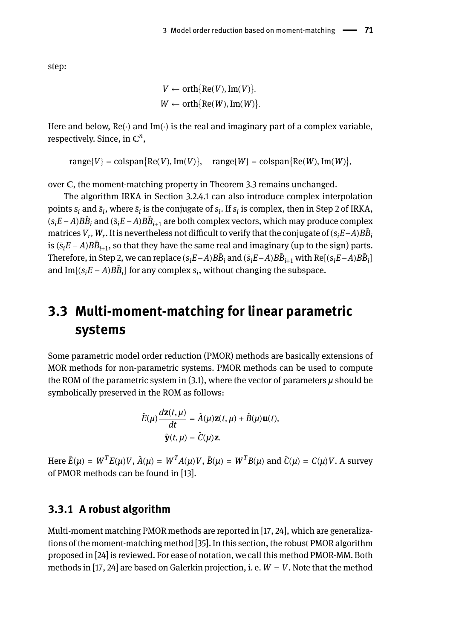step:

```
V \leftarrow \text{orth} \{ \text{Re}(V), \text{Im}(V) \}.W \leftarrow \text{orth} \{ \text{Re}(W), \text{Im}(W) \}.
```
Here and below, Re(⋅) and Im(⋅) is the real and imaginary part of a complex variable, respectively. Since, in  $\mathbb{C}^n$ ,

 $range{V} = colspan{Re(V), Im(V)}, range{W} = colspan{Re(W), Im(W)},$ 

over C, the moment-matching property in Theorem 3.3 remains unchanged.

The algorithm IRKA in Section 3.2.4.1 can also introduce complex interpolation points  $s_i$  and  $\bar{s}_i$ , where  $\bar{s}_i$  is the conjugate of  $s_i$ . If  $s_i$  is complex, then in Step 2 of IRKA,  $(s_iE − A)B\tilde{B}_i$  and  $(\bar{s}_iE − A)B\tilde{B}_{i+1}$  are both complex vectors, which may produce complex  $m$  atrices  $V_r$ ,  $W_r$ . It is nevertheless not difficult to verify that the conjugate of  $(s_iE-A)B\tilde{B}_i$ is ( $\bar{s}$ <sub>*i</sub>E* − *A*) $B\tilde{B}_{i+1}$ , so that they have the same real and imaginary (up to the sign) parts.</sub> Therefore, in Step 2, we can replace ( $s_iE-A$ ) $B\tilde{B}_i$  and ( $\bar{s}_iE-A$ ) $B\tilde{B}_{i+1}$  with Re[( $s_iE-A$ ) $B\tilde{B}_i$ ] and  $Im[(s_iE - A)B\tilde{B}_i]$  for any complex  $s_i$ , without changing the subspace.

# **3.3 Multi-moment-matching for linear parametric systems**

Some parametric model order reduction (PMOR) methods are basically extensions of MOR methods for non-parametric systems. PMOR methods can be used to compute the ROM of the parametric system in (3.1), where the vector of parameters *μ* should be symbolically preserved in the ROM as follows:

$$
\hat{E}(\mu)\frac{d\mathbf{z}(t,\mu)}{dt} = \hat{A}(\mu)\mathbf{z}(t,\mu) + \hat{B}(\mu)\mathbf{u}(t),
$$

$$
\hat{\mathbf{y}}(t,\mu) = \hat{C}(\mu)\mathbf{z}.
$$

Here  $\hat{E}(\mu)=W^TE(\mu)V,$   $\hat{A}(\mu)=W^TA(\mu)V,$   $\hat{B}(\mu)=W^TB(\mu)$  and  $\hat{C}(\mu)=C(\mu)V.$  A survey of PMOR methods can be found in [13].

### **3.3.1 A robust algorithm**

Multi-moment matching PMOR methods are reported in [17, 24], which are generalizations of the moment-matching method [35]. In this section, the robust PMOR algorithm proposed in [24] is reviewed. For ease of notation, we call this method PMOR-MM. Both methods in [17, 24] are based on Galerkin projection, i. e.  $W = V$ . Note that the method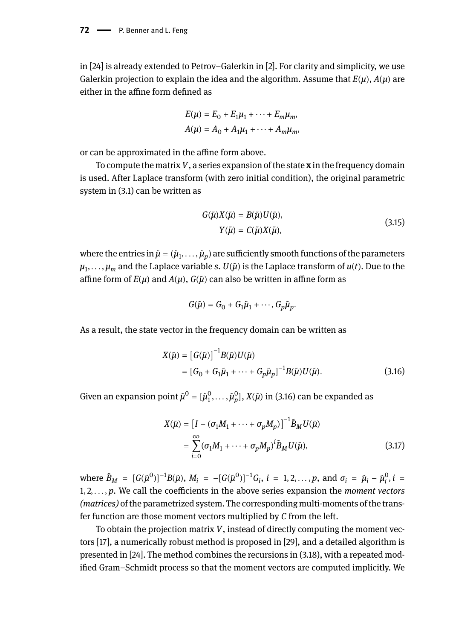in [24] is already extended to Petrov–Galerkin in [2]. For clarity and simplicity, we use Galerkin projection to explain the idea and the algorithm. Assume that  $E(\mu)$ ,  $A(\mu)$  are either in the affine form defined as

$$
E(\mu) = E_0 + E_1\mu_1 + \dots + E_m\mu_m,
$$
  

$$
A(\mu) = A_0 + A_1\mu_1 + \dots + A_m\mu_m,
$$

or can be approximated in the affine form above.

To compute the matrix*V*, a series expansion of the state **x** in the frequency domain is used. After Laplace transform (with zero initial condition), the original parametric system in (3.1) can be written as

$$
G(\tilde{\mu})X(\tilde{\mu}) = B(\tilde{\mu})U(\tilde{\mu}),
$$
  
\n
$$
Y(\tilde{\mu}) = C(\tilde{\mu})X(\tilde{\mu}),
$$
\n(3.15)

where the entries in  $\tilde{\mu} = (\tilde{\mu}_1, \ldots, \tilde{\mu}_p)$  are sufficiently smooth functions of the parameters *μ*1 , . . . , *μ<sup>m</sup>* and the Laplace variable *s*. *U*(*μ*̃) is the Laplace transform of *u*(*t*). Due to the affine form of  $E(\mu)$  and  $A(\mu)$ ,  $G(\tilde{\mu})$  can also be written in affine form as

$$
G(\tilde{\mu})=G_0+G_1\tilde{\mu}_1+\cdots,G_p\tilde{\mu}_p.
$$

As a result, the state vector in the frequency domain can be written as

$$
X(\tilde{\mu}) = [G(\tilde{\mu})]^{-1} B(\tilde{\mu}) U(\tilde{\mu})
$$
  
=  $[G_0 + G_1 \tilde{\mu}_1 + \dots + G_p \tilde{\mu}_p]^{-1} B(\tilde{\mu}) U(\tilde{\mu}).$  (3.16)

Given an expansion point  $\tilde{\mu}^0 = [\tilde{\mu}_1^0, \ldots, \tilde{\mu}_p^0], X(\tilde{\mu})$  in (3.16) can be expanded as

$$
X(\tilde{\mu}) = \left[I - (\sigma_1 M_1 + \dots + \sigma_p M_p)\right]^{-1} \tilde{B}_M U(\tilde{\mu})
$$
  
= 
$$
\sum_{i=0}^{\infty} (\sigma_1 M_1 + \dots + \sigma_p M_p)^i \tilde{B}_M U(\tilde{\mu}),
$$
 (3.17)

where  $\tilde{B}_M = [G(\tilde{\mu}^0)]^{-1}B(\tilde{\mu}), M_i = -[G(\tilde{\mu}^0)]^{-1}G_i, i = 1, 2, ..., p$ , and  $\sigma_i = \tilde{\mu}_i - \tilde{\mu}_i^0, i =$ 1, 2, . . . , *p*. We call the coefficients in the above series expansion the *moment vectors (matrices)* of the parametrized system. The corresponding multi-moments of the transfer function are those moment vectors multiplied by *C* from the left.

To obtain the projection matrix *V*, instead of directly computing the moment vectors [17], a numerically robust method is proposed in [29], and a detailed algorithm is presented in [24]. The method combines the recursions in (3.18), with a repeated modified Gram–Schmidt process so that the moment vectors are computed implicitly. We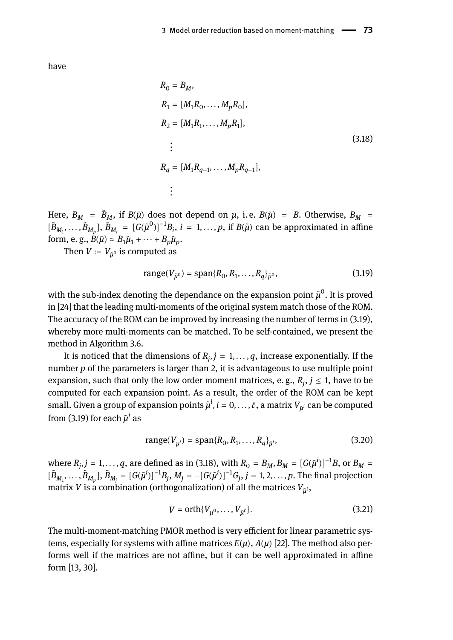have

$$
R_0 = B_M,
$$
  
\n
$$
R_1 = [M_1 R_0, ..., M_p R_0],
$$
  
\n
$$
R_2 = [M_1 R_1, ..., M_p R_1],
$$
  
\n
$$
\vdots
$$
  
\n
$$
R_q = [M_1 R_{q-1}, ..., M_p R_{q-1}],
$$
  
\n
$$
\vdots
$$
  
\n(3.18)

Here,  $B_M$  =  $\tilde{B}_M$ , if  $B(\tilde{\mu})$  does not depend on  $\mu$ , i.e.  $B(\tilde{\mu})$  =  $B$ . Otherwise,  $B_M$  =  $[\tilde{B}_{M_1}, \ldots, \tilde{B}_{M_p}],$   $\tilde{B}_{M_i} = [G(\tilde{\mu}^0)]^{-1}B_i$ ,  $i = 1, \ldots, p$ , if  $B(\tilde{\mu})$  can be approximated in affine form, e. g.,  $B(\tilde{\mu}) \approx B_1 \tilde{\mu}_1 + \cdots + B_p \tilde{\mu}_p$ .

Then  $V\coloneqq V_{\tilde{ \mu}^0}$  is computed as

range
$$
(V_{\tilde{\mu}^0})
$$
 = span $\{R_0, R_1, ..., R_q\}_{\tilde{\mu}^0}$ , (3.19)

with the sub-index denoting the dependance on the expansion point  $\tilde{\mu}^0.$  It is proved in [24] that the leading multi-moments of the original system match those of the ROM. The accuracy of the ROM can be improved by increasing the number of terms in (3.19), whereby more multi-moments can be matched. To be self-contained, we present the method in Algorithm 3.6.

It is noticed that the dimensions of  $R_j, j=1,\ldots,q,$  increase exponentially. If the number *p* of the parameters is larger than 2, it is advantageous to use multiple point expansion, such that only the low order moment matrices, e. g.,  $R_j,$   $j\leq1,$  have to be computed for each expansion point. As a result, the order of the ROM can be kept small. Given a group of expansion points  $\tilde{\mu}^i$ ,  $i=0,\ldots,\ell$ , a matrix  $V_{\tilde{\mu}^i}$  can be computed from (3.19) for each *μ*̃ *i* as

range
$$
(V_{\mu^i})
$$
 = span $\{R_0, R_1, ..., R_q\}_{\bar{\mu}^i}$ , (3.20)

where  $R_j$ ,  $j = 1, \ldots, q$ , are defined as in (3.18), with  $R_0 = B_M$ ,  $B_M = [G(\tilde{\mu}^i)]^{-1}B$ , or  $B_M =$  $[\tilde B_{M_1},\ldots,\tilde B_{M_p}] ,\, \tilde B_{M_j}=[G(\tilde\mu^i)]^{-1}B_j,\, M_j=-[G(\tilde\mu^i)]^{-1}G_j,\, j=1,2,\ldots,p.$  The final projection matrix  $V$  is a combination (orthogonalization) of all the matrices  $V_{\tilde{\mu}^i},$ 

$$
V = \operatorname{orth}\{V_{\mu^0}, \dots, V_{\tilde{\mu}^\ell}\}.
$$
\n(3.21)

The multi-moment-matching PMOR method is very efficient for linear parametric systems, especially for systems with affine matrices  $E(\mu)$ ,  $A(\mu)$  [22]. The method also performs well if the matrices are not affine, but it can be well approximated in affine form [13, 30].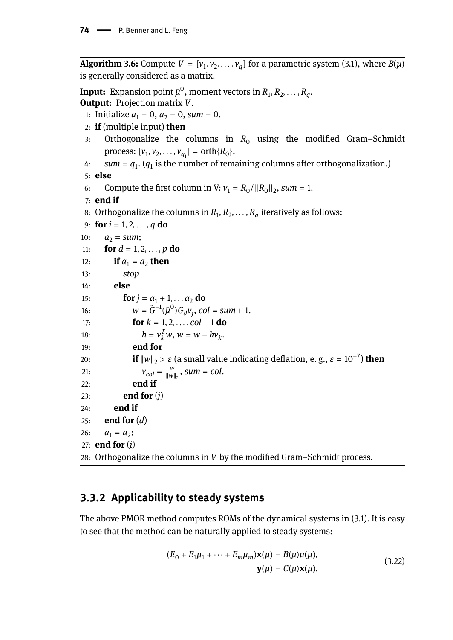**Algorithm 3.6:** Compute  $V = [v_1, v_2, \ldots, v_q]$  for a parametric system (3.1), where  $B(\mu)$ is generally considered as a matrix.

**Input:** Expansion point  $\tilde{\mu}^0$ , moment vectors in  $R_1, R_2, \ldots, R_q$ . **Output:** Projection matrix *V*. 1: Initialize  $a_1 = 0$ ,  $a_2 = 0$ , *sum* = 0. 2: **if** (multiple input) **then** 3: Orthogonalize the columns in  $R_0$  using the modified Gram–Schmidt  $\text{process: } [v_1, v_2, \dots, v_{q_1}] = \text{orth}\{R_0\},\$ 4:  $sum = q_1$ .  $(q_1$  is the number of remaining columns after orthogonalization.) 5: **else** 6: Compute the first column in V:  $v_1 = R_0 / ||R_0||_2$ , sum = 1. 7: **end if** 8: Orthogonalize the columns in  $R_1, R_2, \ldots, R_q$  iteratively as follows: 9: **for**  $i = 1, 2, ..., q$  **do** 10:  $a_2 = sum;$ 11: **for**  $d = 1, 2, ..., p$  **do** 12: **if**  $a_1 = a_2$  **then** 13: *stop* 14: **else** 15: **for**  $j = a_1 + 1, \ldots, a_2$  **do** 16:  $w = \tilde{G}^{-1}(\tilde{\mu}^0)G_d v_j$ ,  $col = sum + 1$ . 17: **for** *k* = 1, 2, . . . , *col* − 1 **do** 18:  $h = v_k^T w, w = w - h v_k^T$ . 19: **end for** 20: **if**  $\|w\|_2 > \varepsilon$  (a small value indicating deflation, e.g.,  $\varepsilon = 10^{-7}$ ) **then** 21:  $V_{col} = \frac{w}{\|w\|}$  $\frac{w}{\|w\|_2}$ , sum = col. 22: **end if** 23: **end for** (*j*) 24: **end if** 25: **end for** (*d*) 26:  $a_1 = a_2;$ 27: **end for** (*i*) 28: Orthogonalize the columns in *V* by the modified Gram–Schmidt process.

## **3.3.2 Applicability to steady systems**

The above PMOR method computes ROMs of the dynamical systems in (3.1). It is easy to see that the method can be naturally applied to steady systems:

$$
(E_0 + E_1\mu_1 + \dots + E_m\mu_m)\mathbf{x}(\mu) = B(\mu)u(\mu),
$$
  

$$
\mathbf{y}(\mu) = C(\mu)\mathbf{x}(\mu).
$$
 (3.22)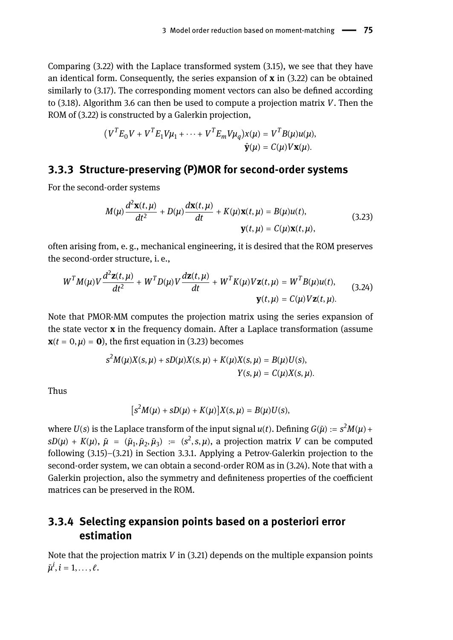Comparing (3.22) with the Laplace transformed system (3.15), we see that they have an identical form. Consequently, the series expansion of **x** in (3.22) can be obtained similarly to (3.17). The corresponding moment vectors can also be defined according to (3.18). Algorithm 3.6 can then be used to compute a projection matrix *V*. Then the ROM of (3.22) is constructed by a Galerkin projection,

$$
(V^T E_0 V + V^T E_1 V \mu_1 + \cdots + V^T E_m V \mu_q) x(\mu) = V^T B(\mu) u(\mu),
$$
  

$$
\hat{\mathbf{y}}(\mu) = C(\mu) V \mathbf{x}(\mu).
$$

### **3.3.3 Structure-preserving (P)MOR for second-order systems**

For the second-order systems

$$
M(\mu) \frac{d^2 \mathbf{x}(t, \mu)}{dt^2} + D(\mu) \frac{d \mathbf{x}(t, \mu)}{dt} + K(\mu) \mathbf{x}(t, \mu) = B(\mu) u(t),
$$
\n(3.23)\n
$$
\mathbf{y}(t, \mu) = C(\mu) \mathbf{x}(t, \mu),
$$

often arising from, e. g., mechanical engineering, it is desired that the ROM preserves the second-order structure, i. e.,

$$
W^{T}M(\mu)V\frac{d^{2}\mathbf{z}(t,\mu)}{dt^{2}} + W^{T}D(\mu)V\frac{d\mathbf{z}(t,\mu)}{dt} + W^{T}K(\mu)V\mathbf{z}(t,\mu) = W^{T}B(\mu)u(t),
$$
\n(3.24)\n
$$
\mathbf{y}(t,\mu) = C(\mu)V\mathbf{z}(t,\mu).
$$

Note that PMOR-MM computes the projection matrix using the series expansion of the state vector **x** in the frequency domain. After a Laplace transformation (assume  $\mathbf{x}(t = 0, \mu) = \mathbf{0}$ , the first equation in (3.23) becomes

$$
s2M(\mu)X(s,\mu) + sD(\mu)X(s,\mu) + K(\mu)X(s,\mu) = B(\mu)U(s),
$$
  
 
$$
Y(s,\mu) = C(\mu)X(s,\mu).
$$

Thus

$$
[s2M(\mu) + sD(\mu) + K(\mu)]X(s,\mu) = B(\mu)U(s),
$$

where  $U(s)$  is the Laplace transform of the input signal  $u(t)$ . Defining  $G(\tilde\mu):= s^2 M(\mu) + \delta$  $sD(\mu) + K(\mu)$ ,  $\tilde{\mu} = (\tilde{\mu}_1, \tilde{\mu}_2, \tilde{\mu}_3) := (s^2, s, \mu)$ , a projection matrix *V* can be computed following (3.15)–(3.21) in Section 3.3.1. Applying a Petrov-Galerkin projection to the second-order system, we can obtain a second-order ROM as in (3.24). Note that with a Galerkin projection, also the symmetry and definiteness properties of the coefficient matrices can be preserved in the ROM.

## **3.3.4 Selecting expansion points based on a posteriori error estimation**

Note that the projection matrix *V* in (3.21) depends on the multiple expansion points  $\tilde{\mu}^i$ ,  $i = 1, \ldots, \ell$ .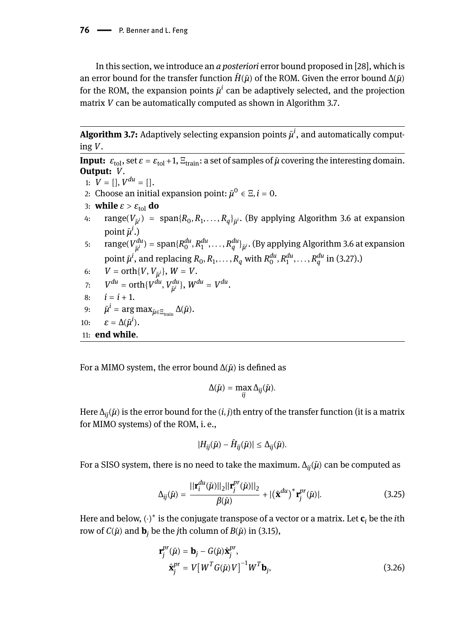In this section, we introduce an *a posteriori* error bound proposed in [28], which is an error bound for the transfer function  $\hat{H}(\tilde{\mu})$  of the ROM. Given the error bound  $\Delta(\tilde{\mu})$ for the ROM, the expansion points *μ*̃ *i* can be adaptively selected, and the projection matrix *V* can be automatically computed as shown in Algorithm 3.7.

**Algorithm 3.7:** Adaptively selecting expansion points  $\tilde{\mu}^i$ , and automatically computing *V*.

**Input:**  $\varepsilon_{\text{tol}}$ , set  $\varepsilon = \varepsilon_{\text{tol}} + 1$ ,  $\Xi_{\text{train}}$ : a set of samples of  $\tilde{\mu}$  covering the interesting domain. **Output:** *V*.

- 1:  $V = []$ ,  $V^{du} = []$ .
- 2: Choose an initial expansion point:  $\tilde{\mu}^0 \in \Xi, i = 0.$
- 3: **while**  $\varepsilon > \varepsilon_{\text{tol}}$  **do**
- 4: range(*Vμ*̃ *<sup>i</sup>*) = span{*R*<sup>0</sup> , *R*<sup>1</sup> , . . . , *R<sup>q</sup>* }*μ*̃ *<sup>i</sup>*. (By applying Algorithm 3.6 at expansion point  $\tilde{\mu}^i$ .)
- 5: range $(V_{\tilde{\mu}^i}^{du}) = {\rm span}\{R_0^{du},R_1^{du},\ldots,R_q^{du}\}_{\tilde{\mu}^i}$ . (By applying Algorithm 3.6 at expansion point  $\tilde{\mu}^i$ , and replacing  $R_0, R_1, \ldots, R_q$  with  $R_0^{du}, R_1^{du}, \ldots, R_q^{du}$  in (3.27).)
- 6:  $V = \text{orth}\{V, V_{\tilde{\mu}^i}\}, W = V.$
- 7:  $V^{du} = \text{orth}\{V^{du}, V^{du}_{\tilde{\mu}^i}\}, W^{du} = V^{du}.$
- 8:  $i = i + 1$ .

9: 
$$
\tilde{\mu}^i = \arg \max_{\tilde{\mu} \in \Xi_{\text{train}}} \Delta(\tilde{\mu}).
$$

$$
10: \qquad \varepsilon = \Delta(\tilde{\mu}^i).
$$

11: **end while**.

For a MIMO system, the error bound Δ(*μ*̃) is defined as

$$
\Delta(\tilde{\mu}) = \max_{ij} \Delta_{ij}(\tilde{\mu}).
$$

Here  $\Delta_{ii}(\tilde{\mu})$  is the error bound for the  $(i, j)$ th entry of the transfer function (it is a matrix for MIMO systems) of the ROM, i. e.,

$$
|H_{ij}(\tilde{\mu}) - \hat{H}_{ij}(\tilde{\mu})| \leq \Delta_{ij}(\tilde{\mu}).
$$

For a SISO system, there is no need to take the maximum. Δ*ij*(*μ*̃) can be computed as

$$
\Delta_{ij}(\tilde{\mu}) = \frac{||\mathbf{r}_{i}^{du}(\tilde{\mu})||_{2}||\mathbf{r}_{j}^{pr}(\tilde{\mu})||_{2}}{\beta(\tilde{\mu})} + |(\hat{\mathbf{x}}^{du})^{*} \mathbf{r}_{j}^{pr}(\tilde{\mu})|.
$$
\n(3.25)

Here and below, (⋅)<sup>∗</sup> is the conjugate transpose of a vector or a matrix. Let **c***<sup>i</sup>* be the *i*th row of  $C(\tilde{\mu})$  and **b**<sub>*j*</sub> be the *j*th column of  $B(\tilde{\mu})$  in (3.15),

$$
\mathbf{r}_{j}^{pr}(\tilde{\mu}) = \mathbf{b}_{j} - G(\tilde{\mu})\hat{\mathbf{x}}_{j}^{pr},
$$
  

$$
\hat{\mathbf{x}}_{j}^{pr} = V[W^{T}G(\tilde{\mu})V]^{-1}W^{T}\mathbf{b}_{j},
$$
\n(3.26)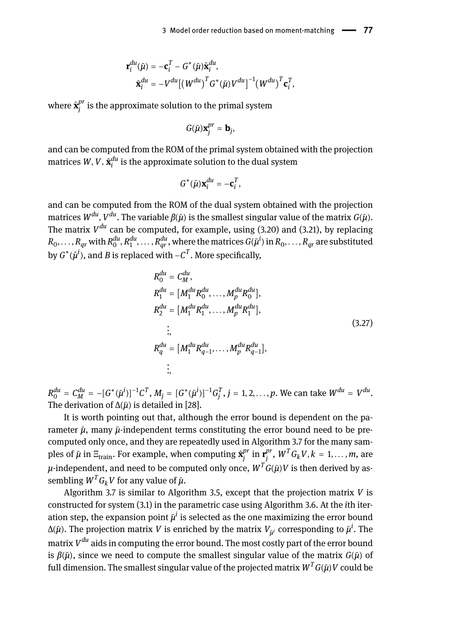$$
\mathbf{r}_i^{du}(\tilde{\mu}) = -\mathbf{c}_i^T - G^*(\tilde{\mu})\hat{\mathbf{x}}_i^{du},
$$
  

$$
\hat{\mathbf{x}}_i^{du} = -V^{du}[(W^{du})^T G^*(\tilde{\mu})V^{du}]^{-1}(W^{du})^T \mathbf{c}_i^T,
$$

where  $\hat{\textbf{x}}^{pr}_{i}$  $j^\nu_j$  is the approximate solution to the primal system

$$
G(\tilde{\mu})\mathbf{x}_{j}^{pr}=\mathbf{b}_{j},
$$

and can be computed from the ROM of the primal system obtained with the projection matrices  $W, V$  .  $\hat{\mathbf{x}}_{i}^{du}$  is the approximate solution to the dual system

$$
G^*(\tilde{\mu})\mathbf{x}_i^{du} = -\mathbf{c}_i^T,
$$

and can be computed from the ROM of the dual system obtained with the projection matrices *W du* , *V du*. The variable *β*(*μ*̃) is the smallest singular value of the matrix *G*(*μ*̃). The matrix *V du* can be computed, for example, using (3.20) and (3.21), by replacing  $R_0,\ldots,R_{qr}$  with  $R_0^{du},R_1^{du},\ldots,R_{qr}^{du},$  where the matrices  $G(\tilde\mu^l)$  in  $R_0,\ldots,R_{qr}$  are substituted by  $G^*(\tilde{\mu}^i)$ , and  $B$  is replaced with  $-C^T.$  More specifically,

$$
R_0^{du} = C_M^{du},
$$
  
\n
$$
R_1^{du} = [M_1^{du} R_0^{du}, \dots, M_p^{du} R_0^{du}],
$$
  
\n
$$
R_2^{du} = [M_1^{du} R_1^{du}, \dots, M_p^{du} R_1^{du}],
$$
  
\n
$$
\vdots
$$
  
\n
$$
R_q^{du} = [M_1^{du} R_{q-1}^{du}, \dots, M_p^{du} R_{q-1}^{du}],
$$
  
\n
$$
\vdots
$$
  
\n(3.27)  
\n(3.28)

 $R_0^{du} = C_M^{du} = -[G^*(\tilde{\mu}^i)]^{-1}C^T$ ,  $M_j = [G^*(\tilde{\mu}^i)]^{-1}G_j^T$ ,  $j = 1, 2, ..., p$ . We can take  $W^{du} = V^{du}$ . The derivation of  $\Delta(\tilde{\mu})$  is detailed in [28].

It is worth pointing out that, although the error bound is dependent on the parameter *μ*̃, many *μ*̃-independent terms constituting the error bound need to be precomputed only once, and they are repeatedly used in Algorithm 3.7 for the many samples of  $\tilde{\mu}$  in  $\Xi_{\text{train}}.$  For example, when computing  $\hat{\textbf{x}}^{pr}_{j}$  $\int_j^{pr}$  in  $\mathbf{r}_j^{pr}$ *j* , *W <sup>T</sup>GkV*, *k* = 1, . . . , *m*, are  $\mu$ -independent, and need to be computed only once,  $\pmb{W}^T\pmb{G}(\tilde{\pmb{\mu}}) \pmb{V}$  is then derived by assembling  $W^T G_k V$  for any value of  $\tilde{\mu}$ .

Algorithm 3.7 is similar to Algorithm 3.5, except that the projection matrix *V* is constructed for system (3.1) in the parametric case using Algorithm 3.6. At the *i*th iteration step, the expansion point  $\tilde{\mu}^i$  is selected as the one maximizing the error bound Δ( $\tilde{\mu}$ ). The projection matrix  $V$  is enriched by the matrix  $V_{\tilde{\mu}^i}$  corresponding to  $\tilde{\mu}^i.$  The matrix *V du* aids in computing the error bound. The most costly part of the error bound is *β*(*μ*̃), since we need to compute the smallest singular value of the matrix *G*(*μ*̃) of full dimension. The smallest singular value of the projected matrix *W <sup>T</sup>G*(*μ*̃)*V* could be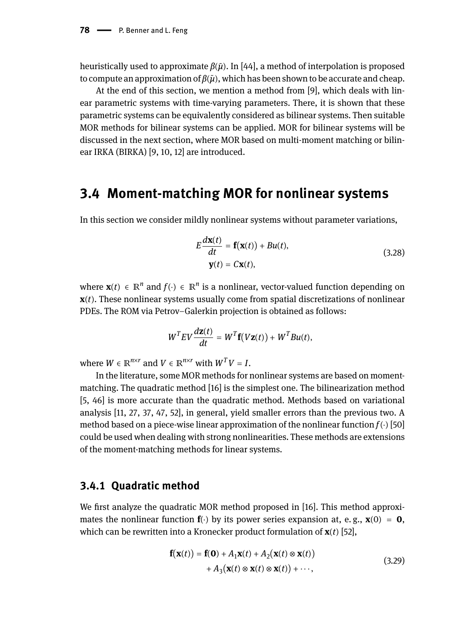heuristically used to approximate *β*(*μ*̃). In [44], a method of interpolation is proposed to compute an approximation of *β*(*μ*̃), which has been shown to be accurate and cheap.

At the end of this section, we mention a method from [9], which deals with linear parametric systems with time-varying parameters. There, it is shown that these parametric systems can be equivalently considered as bilinear systems. Then suitable MOR methods for bilinear systems can be applied. MOR for bilinear systems will be discussed in the next section, where MOR based on multi-moment matching or bilinear IRKA (BIRKA) [9, 10, 12] are introduced.

## **3.4 Moment-matching MOR for nonlinear systems**

In this section we consider mildly nonlinear systems without parameter variations,

$$
E\frac{d\mathbf{x}(t)}{dt} = \mathbf{f}(\mathbf{x}(t)) + Bu(t),
$$
  
 
$$
\mathbf{y}(t) = C\mathbf{x}(t),
$$
 (3.28)

where  $\mathbf{x}(t) \in \mathbb{R}^n$  and  $f(\cdot) \in \mathbb{R}^n$  is a nonlinear, vector-valued function depending on **x**(*t*). These nonlinear systems usually come from spatial discretizations of nonlinear PDEs. The ROM via Petrov–Galerkin projection is obtained as follows:

$$
WTEV\frac{d\mathbf{z}(t)}{dt} = WT\mathbf{f}(V\mathbf{z}(t)) + WTBu(t),
$$

where  $W \in \mathbb{R}^{n \times r}$  and  $V \in \mathbb{R}^{n \times r}$  with  $W^T V = I$ .

In the literature, some MOR methods for nonlinear systems are based on momentmatching. The quadratic method [16] is the simplest one. The bilinearization method [5, 46] is more accurate than the quadratic method. Methods based on variational analysis [11, 27, 37, 47, 52], in general, yield smaller errors than the previous two. A method based on a piece-wise linear approximation of the nonlinear function *f*(⋅) [50] could be used when dealing with strong nonlinearities. These methods are extensions of the moment-matching methods for linear systems.

### **3.4.1 Quadratic method**

We first analyze the quadratic MOR method proposed in [16]. This method approximates the nonlinear function  $f(\cdot)$  by its power series expansion at, e.g.,  $\mathbf{x}(0) = \mathbf{0}$ , which can be rewritten into a Kronecker product formulation of **x**(*t*) [52],

$$
\mathbf{f}(\mathbf{x}(t)) = \mathbf{f}(\mathbf{0}) + A_1 \mathbf{x}(t) + A_2 (\mathbf{x}(t) \otimes \mathbf{x}(t))
$$
  
+  $A_3 (\mathbf{x}(t) \otimes \mathbf{x}(t) \otimes \mathbf{x}(t)) + \cdots,$  (3.29)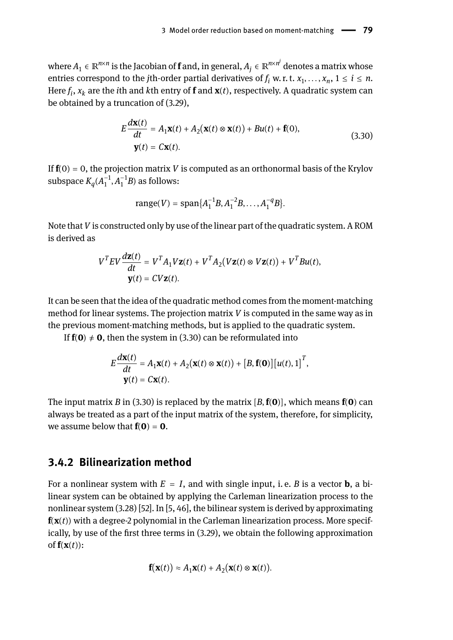where  $A_1 \in \mathbb{R}^{n \times n}$  is the Jacobian of  $\bf f$  and, in general,  $A_j \in \mathbb{R}^{n \times n^j}$  denotes a matrix whose entries correspond to the *j*th-order partial derivatives of  $f_i$  w. r. t.  $x_1, \ldots, x_n$ ,  $1 \le i \le n$ . Here *f i* , *x<sup>k</sup>* are the *i*th and *k*th entry of **f** and **x**(*t*), respectively. A quadratic system can be obtained by a truncation of (3.29),

$$
E\frac{d\mathbf{x}(t)}{dt} = A_1\mathbf{x}(t) + A_2(\mathbf{x}(t) \otimes \mathbf{x}(t)) + Bu(t) + \mathbf{f}(0),
$$
  

$$
\mathbf{y}(t) = C\mathbf{x}(t).
$$
 (3.30)

If  $f(0) = 0$ , the projection matrix *V* is computed as an orthonormal basis of the Krylov subspace  $K_q(A_1^{-1}, A_1^{-1}B)$  as follows:

range(V) = span{
$$
A_1^{-1}B, A_1^{-2}B, ..., A_1^{-q}B
$$
 }.

Note that *V* is constructed only by use of the linear part of the quadratic system. A ROM is derived as

$$
V^T E V \frac{d\mathbf{z}(t)}{dt} = V^T A_1 V \mathbf{z}(t) + V^T A_2 (V \mathbf{z}(t) \otimes V \mathbf{z}(t)) + V^T B u(t),
$$
  

$$
\mathbf{y}(t) = CV \mathbf{z}(t).
$$

It can be seen that the idea of the quadratic method comes from the moment-matching method for linear systems. The projection matrix *V* is computed in the same way as in the previous moment-matching methods, but is applied to the quadratic system.

If  $f(0) \neq 0$ , then the system in (3.30) can be reformulated into

$$
E\frac{d\mathbf{x}(t)}{dt} = A_1\mathbf{x}(t) + A_2(\mathbf{x}(t) \otimes \mathbf{x}(t)) + [B, \mathbf{f}(\mathbf{0})][u(t), 1]^T,
$$
  

$$
\mathbf{y}(t) = C\mathbf{x}(t).
$$

The input matrix *B* in (3.30) is replaced by the matrix [*B*,**f**(**0**)], which means **f**(**0**) can always be treated as a part of the input matrix of the system, therefore, for simplicity, we assume below that  $f(0) = 0$ .

### **3.4.2 Bilinearization method**

For a nonlinear system with  $E = I$ , and with single input, i.e. *B* is a vector **b**, a bilinear system can be obtained by applying the Carleman linearization process to the nonlinear system (3.28) [52]. In [5, 46], the bilinear system is derived by approximating **f**(**x**(*t*)) with a degree-2 polynomial in the Carleman linearization process. More specifically, by use of the first three terms in (3.29), we obtain the following approximation of  $f(x(t))$ :

$$
\mathbf{f}(\mathbf{x}(t)) \approx A_1 \mathbf{x}(t) + A_2(\mathbf{x}(t) \otimes \mathbf{x}(t)).
$$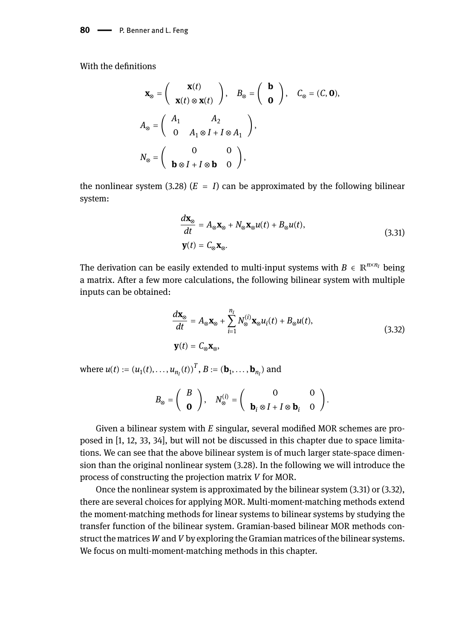With the definitions

$$
\mathbf{x}_{\otimes} = \begin{pmatrix} \mathbf{x}(t) \\ \mathbf{x}(t) \otimes \mathbf{x}(t) \end{pmatrix}, \quad B_{\otimes} = \begin{pmatrix} \mathbf{b} \\ \mathbf{0} \end{pmatrix}, \quad C_{\otimes} = (C, \mathbf{0}),
$$

$$
A_{\otimes} = \begin{pmatrix} A_1 & A_2 \\ 0 & A_1 \otimes I + I \otimes A_1 \end{pmatrix},
$$

$$
N_{\otimes} = \begin{pmatrix} 0 & 0 \\ \mathbf{b} \otimes I + I \otimes \mathbf{b} & 0 \end{pmatrix},
$$

the nonlinear system (3.28)  $(E = I)$  can be approximated by the following bilinear system:

$$
\frac{d\mathbf{x}_{\odot}}{dt} = A_{\odot}\mathbf{x}_{\odot} + N_{\odot}\mathbf{x}_{\odot}u(t) + B_{\odot}u(t),
$$
\n
$$
\mathbf{y}(t) = C_{\odot}\mathbf{x}_{\odot}.
$$
\n(3.31)

The derivation can be easily extended to multi-input systems with  $B \in \mathbb{R}^{n \times n_I}$  being a matrix. After a few more calculations, the following bilinear system with multiple inputs can be obtained:

$$
\frac{d\mathbf{x}_{\otimes}}{dt} = A_{\otimes}\mathbf{x}_{\otimes} + \sum_{i=1}^{n_I} N_{\otimes}^{(i)} \mathbf{x}_{\otimes} u_i(t) + B_{\otimes} u(t),
$$
\n
$$
\mathbf{y}(t) = C_{\otimes} \mathbf{x}_{\otimes},
$$
\n(3.32)

where  $u(t) := (u_1(t), ..., u_{n_I}(t))^T$ ,  $B := (\mathbf{b}_1, ..., \mathbf{b}_{n_I})$  and

$$
B_{\otimes}=\left(\begin{array}{c} B \\ \mathbf{0} \end{array}\right),\quad N_{\otimes}^{(i)}=\left(\begin{array}{cc} 0 & 0 \\ \mathbf{b}_i\otimes I+I\otimes \mathbf{b}_i & 0 \end{array}\right).
$$

Given a bilinear system with *E* singular, several modified MOR schemes are proposed in [1, 12, 33, 34], but will not be discussed in this chapter due to space limitations. We can see that the above bilinear system is of much larger state-space dimension than the original nonlinear system (3.28). In the following we will introduce the process of constructing the projection matrix *V* for MOR.

Once the nonlinear system is approximated by the bilinear system (3.31) or (3.32), there are several choices for applying MOR. Multi-moment-matching methods extend the moment-matching methods for linear systems to bilinear systems by studying the transfer function of the bilinear system. Gramian-based bilinear MOR methods construct the matrices *W* and*V* by exploring the Gramian matrices of the bilinear systems. We focus on multi-moment-matching methods in this chapter.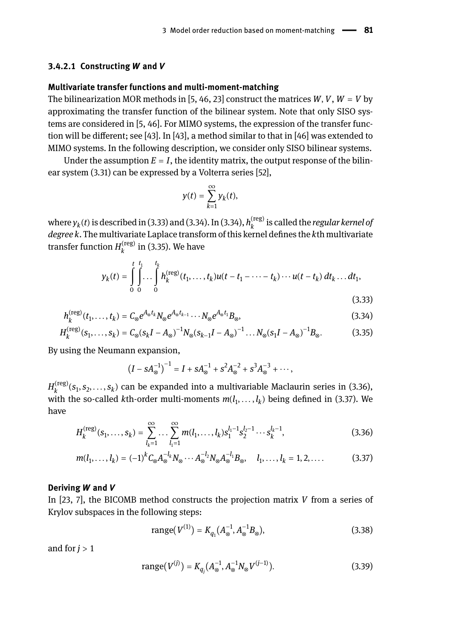#### **3.4.2.1 Constructing** *W* **and** *V*

#### **Multivariate transfer functions and multi-moment-matching**

The bilinearization MOR methods in [5, 46, 23] construct the matrices  $W, V, W = V$  by approximating the transfer function of the bilinear system. Note that only SISO systems are considered in [5, 46]. For MIMO systems, the expression of the transfer function will be different; see [43]. In [43], a method similar to that in [46] was extended to MIMO systems. In the following description, we consider only SISO bilinear systems.

Under the assumption  $E = I$ , the identity matrix, the output response of the bilinear system (3.31) can be expressed by a Volterra series [52],

$$
y(t)=\sum_{k=1}^{\infty}y_k(t),
$$

where  $y_k(t)$  is described in (3.33) and (3.34). In (3.34),  $h_k^{\rm (reg)}$ *k* is called the *regular kernel of degree k*. The multivariate Laplace transform of this kernel defines the *k*th multivariate transfer function  $H_k^{\rm (reg)}$  $\binom{n}{k}$  in (3.35). We have

$$
y_k(t) = \int_0^t \int_0^{t_1} \ldots \int_0^{t_k} h_k^{(\text{reg})}(t_1, \ldots, t_k) u(t - t_1 - \cdots - t_k) \cdots u(t - t_k) dt_k \ldots dt_1,
$$
\n(3.33)

$$
h_k^{\text{(reg)}}(t_1,\ldots,t_k) = C_{\otimes}e^{A_{\otimes}t_k}N_{\otimes}e^{A_{\otimes}t_{k-1}}\cdots N_{\otimes}e^{A_{\otimes}t_1}B_{\otimes},\tag{3.34}
$$

$$
H_k^{(\text{reg})}(s_1, \dots, s_k) = C_{\otimes}(s_k I - A_{\otimes})^{-1} N_{\otimes}(s_{k-1} I - A_{\otimes})^{-1} \dots N_{\otimes}(s_1 I - A_{\otimes})^{-1} B_{\otimes}.
$$
 (3.35)

By using the Neumann expansion,

 $(I - sA_{\otimes}^{-1})^{-1} = I + sA_{\otimes}^{-1} + s^2A_{\otimes}^{-2} + s^3A_{\otimes}^{-3} + \cdots,$ 

 $H_{k}^{\left( \text{reg} \right)}$  $\binom{n_{\rm CS}}{k}(s_1, s_2, \ldots, s_k)$  can be expanded into a multivariable Maclaurin series in (3.36), with the so-called *k*th-order multi-moments  $m(l_1, \ldots, l_k)$  being defined in (3.37). We have

$$
H_k^{(\text{reg})}(s_1, \ldots, s_k) = \sum_{l_k=1}^{\infty} \ldots \sum_{l_1=1}^{\infty} m(l_1, \ldots, l_k) s_1^{l_1-1} s_2^{l_2-1} \cdots s_k^{l_k-1},
$$
\n(3.36)

$$
m(l_1, \ldots, l_k) = (-1)^k C_{\otimes} A_{\otimes}^{-l_k} N_{\otimes} \cdots A_{\otimes}^{-l_2} N_{\otimes} A_{\otimes}^{-l_1} B_{\otimes}, \quad l_1, \ldots, l_k = 1, 2, \ldots
$$
 (3.37)

#### **Deriving** *W* **and** *V*

In [23, 7], the BICOMB method constructs the projection matrix *V* from a series of Krylov subspaces in the following steps:

range
$$
(V^{(1)}) = K_{q_1}(A_{\otimes}^{-1}, A_{\otimes}^{-1}B_{\otimes}),
$$
 (3.38)

and for  $j > 1$ 

range
$$
(V^{(j)}) = K_{q_j}(A_{\otimes}^{-1}, A_{\otimes}^{-1}N_{\otimes}V^{(j-1)}).
$$
 (3.39)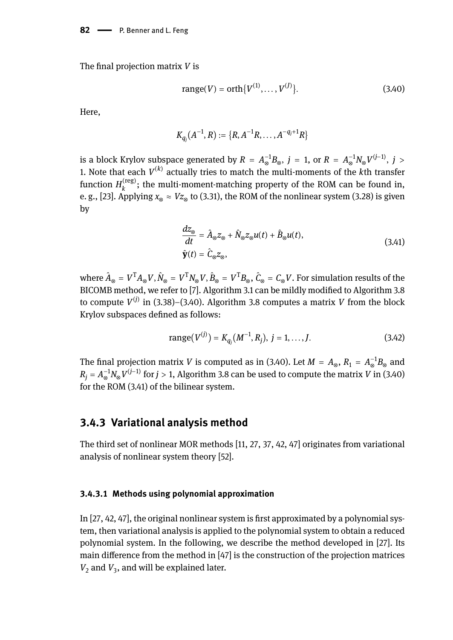The final projection matrix *V* is

range(V) = orth{
$$
V^{(1)}, \ldots, V^{(J)}
$$
}. (3.40)

Here,

$$
K_{q_j}(A^{-1},R):=\{R,A^{-1}R,\ldots,A^{-q_j+1}R\}
$$

is a block Krylov subspace generated by  $R = A_{\otimes}^{-1}B_{\otimes}, j = 1$ , or  $R = A_{\otimes}^{-1}N_{\otimes}V^{(j-1)}, j > 1$ 1. Note that each *V* (*k*) actually tries to match the multi-moments of the *k*th transfer function  $H_k^{(\mathrm{reg})}$ ; the multi-moment-matching property of the ROM can be found in, e. g., [23]. Applying  $x_{\otimes} \approx Vz_{\otimes}$  to (3.31), the ROM of the nonlinear system (3.28) is given by

$$
\frac{dz_{\otimes}}{dt} = \hat{A}_{\otimes} z_{\otimes} + \hat{N}_{\otimes} z_{\otimes} u(t) + \hat{B}_{\otimes} u(t),
$$
  

$$
\hat{\mathbf{y}}(t) = \hat{C}_{\otimes} z_{\otimes},
$$
 (3.41)

where  $\hat{A}_{\otimes} = V^{\mathsf{T}}A_{\otimes}V$ ,  $\hat{N}_{\otimes} = V^{\mathsf{T}}N_{\otimes}V$ ,  $\hat{B}_{\otimes} = V^{\mathsf{T}}B_{\otimes}$ ,  $\hat{C}_{\otimes} = C_{\otimes}V$ . For simulation results of the BICOMB method, we refer to [7]. Algorithm 3.1 can be mildly modified to Algorithm 3.8 to compute *V* (*j*) in (3.38)–(3.40). Algorithm 3.8 computes a matrix *V* from the block Krylov subspaces defined as follows:

range
$$
(V^{(j)}) = K_{q_j}(M^{-1}, R_j), j = 1, ..., J.
$$
 (3.42)

The final projection matrix *V* is computed as in (3.40). Let  $M = A_{\otimes}, R_1 = A_{\otimes}^{-1}B_{\otimes}$  and  $R_j = A_{\otimes}^{-1} N_{\otimes} V^{(j-1)}$  for  $j > 1$ , Algorithm 3.8 can be used to compute the matrix *V* in (3.40) for the ROM (3.41) of the bilinear system.

### **3.4.3 Variational analysis method**

The third set of nonlinear MOR methods [11, 27, 37, 42, 47] originates from variational analysis of nonlinear system theory [52].

### **3.4.3.1 Methods using polynomial approximation**

In [27, 42, 47], the original nonlinear system is first approximated by a polynomial system, then variational analysis is applied to the polynomial system to obtain a reduced polynomial system. In the following, we describe the method developed in [27]. Its main difference from the method in [47] is the construction of the projection matrices  $V_2$  and  $V_3$ , and will be explained later.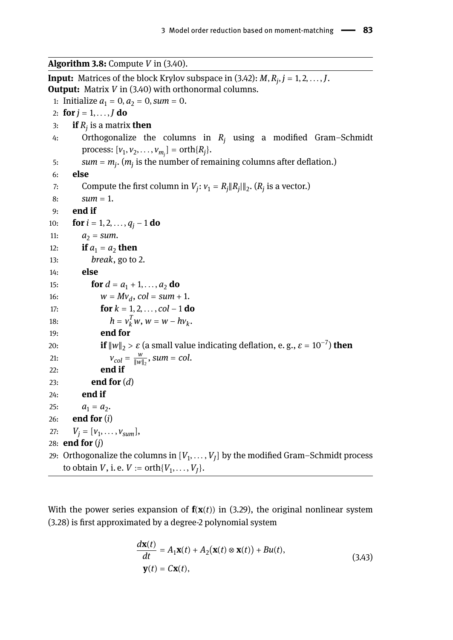**Algorithm 3.8:** Compute *V* in (3.40).

**Input:** Matrices of the block Krylov subspace in (3.42): *M*, *R<sup>j</sup>* , *j* = 1, 2, . . . ,*J*. **Output:** Matrix *V* in (3.40) with orthonormal columns. 1: Initialize  $a_1 = 0, a_2 = 0, \text{ sum} = 0$ . 2: **for**  $j = 1, ..., J$  **do** 3: **if** *R<sup>j</sup>* is a matrix **then** 4: Orthogonalize the columns in *R<sup>j</sup>* using a modified Gram–Schmidt  $\text{process: } [\nu_1, \nu_2, \dots, \nu_{m_j}] = \text{orth}\{R_j\}.$ 5: *sum* = *m<sup>j</sup>* . (*m<sup>j</sup>* is the number of remaining columns after deflation.) 6: **else** 7: Compute the first column in  $V_j: v_1 = R_j \|R_j\|_2$ .  $(R_j$  is a vector.) 8:  $sum = 1$ . 9: **end if** 10: **for**  $i = 1, 2, ..., q_i - 1$  **do** 11:  $a_2 = sum.$ 12: **if**  $a_1 = a_2$  **then** 13: *break*, go to 2. 14: **else** 15: **for**  $d = a_1 + 1, ..., a_2$  **do** 16:  $w = Mv_d$ ,  $col = sum + 1$ . 17: **for**  $k = 1, 2, ..., col - 1$  **do** 18:  $h = v_k^T w, w = w - h v_k^T$ . 19: **end for** 20: **if**  $\|w\|_2 > \varepsilon$  (a small value indicating deflation, e.g.,  $\varepsilon = 10^{-7}$ ) **then** 21:  $V_{col} = \frac{w}{\|w\|}$  $\frac{w}{\|w\|_2}$ , sum = col. 22: **end if** 23: **end for** (*d*) 24: **end if** 25:  $a_1 = a_2$ . 26: **end for** (*i*) 27:  $V_j = [v_1, \ldots, v_{sum}],$ 28: **end for** (*j*) 29:  $\,$  Orthogonalize the columns in  $[V_1,\ldots,V_J]$  by the modified Gram–Schmidt process to obtain  $V$ , i. e.  $V := \operatorname{orth}\{V_1, \ldots, V_J\}.$ 

With the power series expansion of  $f(x(t))$  in (3.29), the original nonlinear system (3.28) is first approximated by a degree-2 polynomial system

$$
\frac{d\mathbf{x}(t)}{dt} = A_1 \mathbf{x}(t) + A_2(\mathbf{x}(t) \otimes \mathbf{x}(t)) + Bu(t),
$$
  
\n
$$
\mathbf{y}(t) = C\mathbf{x}(t),
$$
\n(3.43)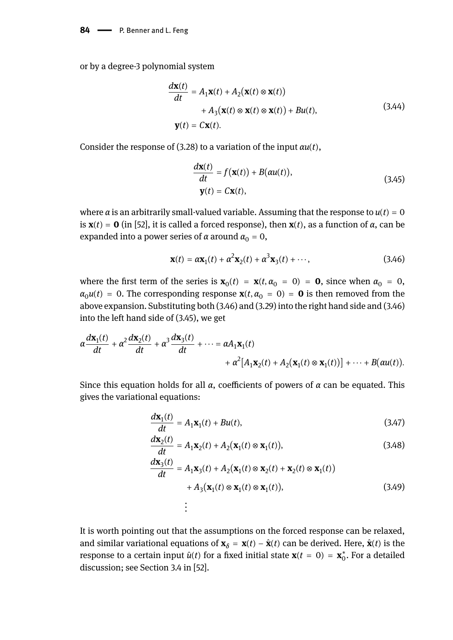or by a degree-3 polynomial system

$$
\frac{d\mathbf{x}(t)}{dt} = A_1 \mathbf{x}(t) + A_2 (\mathbf{x}(t) \otimes \mathbf{x}(t))
$$
  
+  $A_3 (\mathbf{x}(t) \otimes \mathbf{x}(t) \otimes \mathbf{x}(t)) + Bu(t),$  (3.44)  

$$
\mathbf{y}(t) = C\mathbf{x}(t).
$$

Consider the response of (3.28) to a variation of the input *αu*(*t*),

$$
\frac{d\mathbf{x}(t)}{dt} = f(\mathbf{x}(t)) + B(\alpha u(t)),
$$
\n
$$
\mathbf{y}(t) = C\mathbf{x}(t),
$$
\n(3.45)

where  $\alpha$  is an arbitrarily small-valued variable. Assuming that the response to  $u(t) = 0$ is **x**(*t*) = **0** (in [52], it is called a forced response), then **x**(*t*), as a function of *α*, can be expanded into a power series of  $\alpha$  around  $\alpha_0 = 0$ ,

$$
\mathbf{x}(t) = \alpha \mathbf{x}_1(t) + \alpha^2 \mathbf{x}_2(t) + \alpha^3 \mathbf{x}_3(t) + \cdots,
$$
 (3.46)

where the first term of the series is  $\mathbf{x}_0(t) = \mathbf{x}(t, \alpha_0 = 0) = \mathbf{0}$ , since when  $\alpha_0 = 0$ ,  $\alpha_0 u(t) = 0$ . The corresponding response  $\mathbf{x}(t, \alpha_0 = 0) = \mathbf{0}$  is then removed from the above expansion. Substituting both (3.46) and (3.29) into the right hand side and (3.46) into the left hand side of (3.45), we get

$$
\alpha \frac{d\mathbf{x}_1(t)}{dt} + \alpha^2 \frac{d\mathbf{x}_2(t)}{dt} + \alpha^3 \frac{d\mathbf{x}_3(t)}{dt} + \cdots = \alpha A_1 \mathbf{x}_1(t) + \alpha^2 [A_1 \mathbf{x}_2(t) + A_2(\mathbf{x}_1(t) \otimes \mathbf{x}_1(t))] + \cdots + B(\alpha u(t)).
$$

Since this equation holds for all *α*, coefficients of powers of *α* can be equated. This gives the variational equations:

$$
\frac{d\mathbf{x}_1(t)}{dt} = A_1 \mathbf{x}_1(t) + Bu(t),\tag{3.47}
$$

$$
\frac{d\mathbf{x}_2(t)}{dt} = A_1 \mathbf{x}_2(t) + A_2(\mathbf{x}_1(t) \otimes \mathbf{x}_1(t)),
$$
\n(3.48)

$$
\frac{d\mathbf{x}_3(t)}{dt} = A_1\mathbf{x}_3(t) + A_2(\mathbf{x}_1(t) \otimes \mathbf{x}_2(t) + \mathbf{x}_2(t) \otimes \mathbf{x}_1(t))
$$
  
+  $A_3(\mathbf{x}_1(t) \otimes \mathbf{x}_1(t) \otimes \mathbf{x}_1(t)),$  (3.49)

It is worth pointing out that the assumptions on the forced response can be relaxed, and similar variational equations of  $\mathbf{x}_{\delta} = \mathbf{x}(t) - \hat{\mathbf{x}}(t)$  can be derived. Here,  $\hat{\mathbf{x}}(t)$  is the response to a certain input  $\hat{u}(t)$  for a fixed initial state  $\mathbf{x}(t = 0) = \mathbf{x}_0^*$ . For a detailed discussion; see Section 3.4 in [52].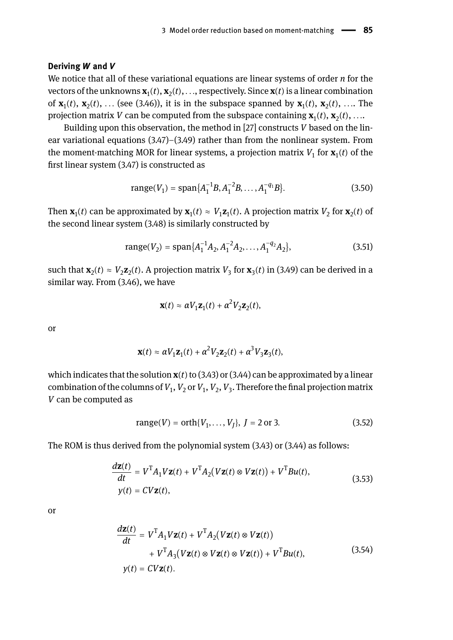#### **Deriving** *W* **and** *V*

We notice that all of these variational equations are linear systems of order *n* for the  ${\bf v}$ ectors of the unknowns  ${\bf x}_1(t),{\bf x}_2(t),\ldots$ , respectively. Since  ${\bf x}(t)$  is a linear combination of  $\mathbf{x}_1(t)$ ,  $\mathbf{x}_2(t)$ , ... (see (3.46)), it is in the subspace spanned by  $\mathbf{x}_1(t)$ ,  $\mathbf{x}_2(t)$ , .... The projection matrix  $V$  can be computed from the subspace containing  $\mathbf{x}_1(t),\mathbf{x}_2(t),...$ 

Building upon this observation, the method in [27] constructs *V* based on the linear variational equations (3.47)–(3.49) rather than from the nonlinear system. From the moment-matching MOR for linear systems, a projection matrix  $V_1$  for  $\mathbf{x}_1(t)$  of the first linear system (3.47) is constructed as

range
$$
(V_1)
$$
 = span $\{A_1^{-1}B, A_1^{-2}B, ..., A_1^{-q_1}B\}$ . (3.50)

Then  $\mathbf{x}_1(t)$  can be approximated by  $\mathbf{x}_1(t) \approx V_1 \mathbf{z}_1(t)$ . A projection matrix  $V_2$  for  $\mathbf{x}_2(t)$  of the second linear system (3.48) is similarly constructed by

range
$$
(V_2)
$$
 = span $\{A_1^{-1}A_2, A_1^{-2}A_2, ..., A_1^{-q_2}A_2\}$ , (3.51)

such that  $\mathbf{x}_2(t) \approx V_2 \mathbf{z}_2(t)$ . A projection matrix  $V_3$  for  $\mathbf{x}_3(t)$  in (3.49) can be derived in a similar way. From (3.46), we have

$$
\mathbf{x}(t) \approx \alpha V_1 \mathbf{z}_1(t) + \alpha^2 V_2 \mathbf{z}_2(t),
$$

or

$$
\mathbf{x}(t) \approx \alpha V_1 \mathbf{z}_1(t) + \alpha^2 V_2 \mathbf{z}_2(t) + \alpha^3 V_3 \mathbf{z}_3(t),
$$

which indicates that the solution  $\mathbf{x}(t)$  to (3.43) or (3.44) can be approximated by a linear combination of the columns of  $V_1$ ,  $V_2$  or  $V_1$ ,  $V_2$ ,  $V_3$ . Therefore the final projection matrix *V* can be computed as

range(V) = orth{V<sub>1</sub>,...,V<sub>J</sub>}, 
$$
J = 2
$$
 or 3. (3.52)

The ROM is thus derived from the polynomial system (3.43) or (3.44) as follows:

$$
\frac{d\mathbf{z}(t)}{dt} = V^{\mathrm{T}}A_1 V \mathbf{z}(t) + V^{\mathrm{T}}A_2 (V\mathbf{z}(t) \otimes V\mathbf{z}(t)) + V^{\mathrm{T}}Bu(t),
$$
\n
$$
y(t) = CV\mathbf{z}(t),
$$
\n(3.53)

or

$$
\frac{d\mathbf{z}(t)}{dt} = V^{\mathrm{T}} A_1 V \mathbf{z}(t) + V^{\mathrm{T}} A_2 (V \mathbf{z}(t) \otimes V \mathbf{z}(t)) \n+ V^{\mathrm{T}} A_3 (V \mathbf{z}(t) \otimes V \mathbf{z}(t) \otimes V \mathbf{z}(t)) + V^{\mathrm{T}} B u(t),
$$
\n(3.54)\n  
\n
$$
y(t) = CV \mathbf{z}(t).
$$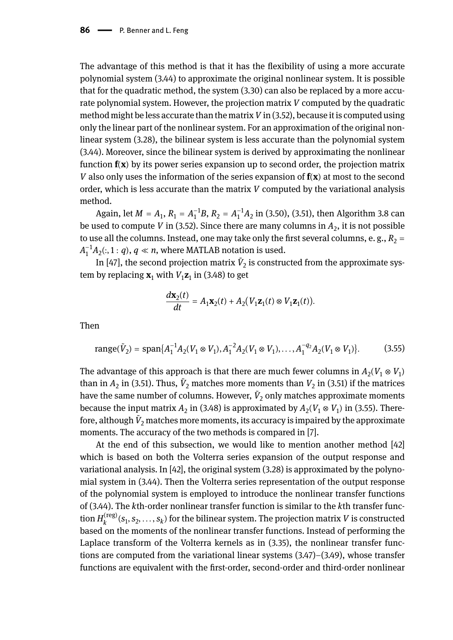The advantage of this method is that it has the flexibility of using a more accurate polynomial system (3.44) to approximate the original nonlinear system. It is possible that for the quadratic method, the system (3.30) can also be replaced by a more accurate polynomial system. However, the projection matrix *V* computed by the quadratic method might be less accurate than the matrix*V* in (3.52), because it is computed using only the linear part of the nonlinear system. For an approximation of the original nonlinear system (3.28), the bilinear system is less accurate than the polynomial system (3.44). Moreover, since the bilinear system is derived by approximating the nonlinear function **f**(**x**) by its power series expansion up to second order, the projection matrix *V* also only uses the information of the series expansion of **f**(**x**) at most to the second order, which is less accurate than the matrix *V* computed by the variational analysis method.

Again, let  $M = A_1$ ,  $R_1 = A_1^{-1}B$ ,  $R_2 = A_1^{-1}A_2$  in (3.50), (3.51), then Algorithm 3.8 can be used to compute *V* in (3.52). Since there are many columns in  $A_2$ , it is not possible to use all the columns. Instead, one may take only the first several columns, e. g.,  $R_2 =$  $A_1^{-1}A_2(:, 1:q), q \ll n$ , where MATLAB notation is used.

In [47], the second projection matrix  $\tilde{V}_2$  is constructed from the approximate system by replacing  $\mathbf{x}_1$  with  $V_1\mathbf{z}_1$  in (3.48) to get

$$
\frac{d\mathbf{x}_2(t)}{dt} = A_1 \mathbf{x}_2(t) + A_2 (V_1 \mathbf{z}_1(t) \otimes V_1 \mathbf{z}_1(t)).
$$

Then

range(
$$
\tilde{V}_2
$$
) = span{ $A_1^{-1}A_2(V_1 \otimes V_1), A_1^{-2}A_2(V_1 \otimes V_1), \dots, A_1^{-q_2}A_2(V_1 \otimes V_1)$ }. (3.55)

The advantage of this approach is that there are much fewer columns in  $A_2 (V_1 \otimes V_1)$ than in  $A_2$  in (3.51). Thus,  $\tilde{V}_2$  matches more moments than  $V_2$  in (3.51) if the matrices have the same number of columns. However,  $\tilde{V}_2$  only matches approximate moments because the input matrix  $A_2$  in (3.48) is approximated by  $A_2(V_1 \otimes V_1)$  in (3.55). Therefore, although  $\tilde{V}_2$  matches more moments, its accuracy is impaired by the approximate moments. The accuracy of the two methods is compared in [7].

At the end of this subsection, we would like to mention another method [42] which is based on both the Volterra series expansion of the output response and variational analysis. In  $[42]$ , the original system  $(3.28)$  is approximated by the polynomial system in (3.44). Then the Volterra series representation of the output response of the polynomial system is employed to introduce the nonlinear transfer functions of (3.44). The *k*th-order nonlinear transfer function is similar to the *k*th transfer function  $H_k^{(\text{reg})}$  $\mathbf{f}_k^{(\text{reg})}(\mathbf{s}_1, \mathbf{s}_2, \dots, \mathbf{s}_k)$  for the bilinear system. The projection matrix *V* is constructed based on the moments of the nonlinear transfer functions. Instead of performing the Laplace transform of the Volterra kernels as in (3.35), the nonlinear transfer functions are computed from the variational linear systems  $(3.47)$ – $(3.49)$ , whose transfer functions are equivalent with the first-order, second-order and third-order nonlinear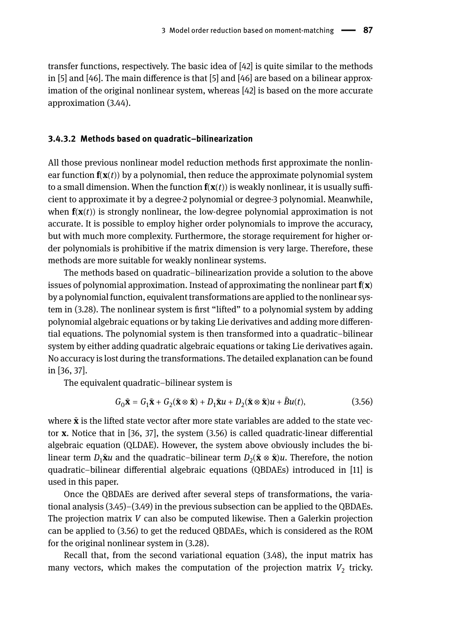transfer functions, respectively. The basic idea of [42] is quite similar to the methods in [5] and [46]. The main difference is that [5] and [46] are based on a bilinear approximation of the original nonlinear system, whereas [42] is based on the more accurate approximation (3.44).

#### **3.4.3.2 Methods based on quadratic–bilinearization**

All those previous nonlinear model reduction methods first approximate the nonlinear function  $f(x(t))$  by a polynomial, then reduce the approximate polynomial system to a small dimension. When the function  $f(x(t))$  is weakly nonlinear, it is usually sufficient to approximate it by a degree-2 polynomial or degree-3 polynomial. Meanwhile, when  $f(x(t))$  is strongly nonlinear, the low-degree polynomial approximation is not accurate. It is possible to employ higher order polynomials to improve the accuracy, but with much more complexity. Furthermore, the storage requirement for higher order polynomials is prohibitive if the matrix dimension is very large. Therefore, these methods are more suitable for weakly nonlinear systems.

The methods based on quadratic–bilinearization provide a solution to the above issues of polynomial approximation. Instead of approximating the nonlinear part **f**(**x**) by a polynomial function, equivalent transformations are applied to the nonlinear system in (3.28). The nonlinear system is first "lifted" to a polynomial system by adding polynomial algebraic equations or by taking Lie derivatives and adding more differential equations. The polynomial system is then transformed into a quadratic–bilinear system by either adding quadratic algebraic equations or taking Lie derivatives again. No accuracy is lost during the transformations. The detailed explanation can be found in [36, 37].

The equivalent quadratic–bilinear system is

$$
G_0\tilde{\mathbf{x}} = G_1\tilde{\mathbf{x}} + G_2(\tilde{\mathbf{x}} \otimes \tilde{\mathbf{x}}) + D_1\tilde{\mathbf{x}}u + D_2(\tilde{\mathbf{x}} \otimes \tilde{\mathbf{x}})u + \tilde{B}u(t),
$$
\n(3.56)

where **x**̃is the lifted state vector after more state variables are added to the state vector **x**. Notice that in [36, 37], the system (3.56) is called quadratic-linear differential algebraic equation (QLDAE). However, the system above obviously includes the bilinear term  $D_1\tilde{\mathbf{x}}$ *u* and the quadratic–bilinear term  $D_2(\tilde{\mathbf{x}}\otimes \tilde{\mathbf{x}})$ *u*. Therefore, the notion quadratic–bilinear differential algebraic equations (QBDAEs) introduced in [11] is used in this paper.

Once the QBDAEs are derived after several steps of transformations, the variational analysis (3.45)–(3.49) in the previous subsection can be applied to the QBDAEs. The projection matrix *V* can also be computed likewise. Then a Galerkin projection can be applied to (3.56) to get the reduced QBDAEs, which is considered as the ROM for the original nonlinear system in (3.28).

Recall that, from the second variational equation (3.48), the input matrix has many vectors, which makes the computation of the projection matrix  $V_2$  tricky.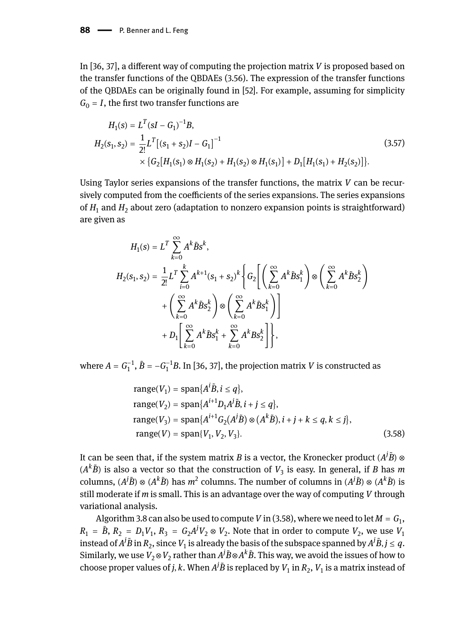In [36, 37], a different way of computing the projection matrix *V* is proposed based on the transfer functions of the QBDAEs (3.56). The expression of the transfer functions of the QBDAEs can be originally found in [52]. For example, assuming for simplicity  $G<sub>0</sub> = I$ , the first two transfer functions are

$$
H_1(s) = L^T(sI - G_1)^{-1}B,
$$
  
\n
$$
H_2(s_1, s_2) = \frac{1}{2!}L^T[(s_1 + s_2)I - G_1]^{-1}
$$
  
\n
$$
\times \{G_2[H_1(s_1) \otimes H_1(s_2) + H_1(s_2) \otimes H_1(s_1)] + D_1[H_1(s_1) + H_2(s_2)]\}.
$$
\n(3.57)

Using Taylor series expansions of the transfer functions, the matrix *V* can be recursively computed from the coefficients of the series expansions. The series expansions of  $H_1$  and  $H_2$  about zero (adaptation to nonzero expansion points is straightforward) are given as

$$
H_{1}(s) = L^{T} \sum_{k=0}^{\infty} A^{k} \tilde{B} s^{k},
$$
  
\n
$$
H_{2}(s_{1}, s_{2}) = \frac{1}{2!} L^{T} \sum_{i=0}^{k} A^{k+1} (s_{1} + s_{2})^{k} \left\{ G_{2} \left[ \left( \sum_{k=0}^{\infty} A^{k} \tilde{B} s_{1}^{k} \right) \otimes \left( \sum_{k=0}^{\infty} A^{k} \tilde{B} s_{2}^{k} \right) + \left( \sum_{k=0}^{\infty} A^{k} \tilde{B} s_{2}^{k} \right) \otimes \left( \sum_{k=0}^{\infty} A^{k} \tilde{B} s_{1}^{k} \right) \right] + D_{1} \left[ \sum_{k=0}^{\infty} A^{k} \tilde{B} s_{1}^{k} + \sum_{k=0}^{\infty} A^{k} B s_{2}^{k} \right] \right\},
$$

where  $A = G_1^{-1}$ ,  $\tilde{B} = -G_1^{-1}B$ . In [36, 37], the projection matrix *V* is constructed as

range(
$$
V_1
$$
) = span{ $A^i \tilde{B}, i \le q$ },  
\nrange( $V_2$ ) = span{ $A^{i+1}D_1A^j\tilde{B}, i + j \le q$ },  
\nrange( $V_3$ ) = span{ $A^{i+1}G_2(A^j\tilde{B}) \otimes (A^k\tilde{B}), i + j + k \le q, k \le j$ },  
\nrange( $V$ ) = span{ $V_1, V_2, V_3$ }. (3.58)

It can be seen that, if the system matrix *B* is a vector, the Kronecker product  $(A^j\tilde{B})$  ⊗  $(A<sup>k</sup>B)$  is also a vector so that the construction of  $V_3$  is easy. In general, if *B* has *m* columns,  $(A^j\tilde{B}) \otimes (A^k\tilde{B})$  has  $m^2$  columns. The number of columns in  $(A^j\tilde{B}) \otimes (A^k\tilde{B})$  is still moderate if *m* is small. This is an advantage over the way of computing *V* through variational analysis.

Algorithm 3.8 can also be used to compute  $V$  in (3.58), where we need to let  $M = G_{1},$  $R_1 = \tilde{B}$ ,  $R_2 = D_1 V_1$ ,  $R_3 = G_2 A^j V_2 \otimes V_2$ . Note that in order to compute  $V_2$ , we use  $V_1$ instead of  $A^j\tilde{B}$  in  $R_2$ , since  $V_1$  is already the basis of the subspace spanned by  $A^j\tilde{B}, j\leq q.$ Similarly, we use  $V_2 \otimes V_2$  rather than  $A^j \tilde{B} \otimes A^k \tilde{B}$ . This way, we avoid the issues of how to choose proper values of *j*, *k*. When  $A^j \tilde{B}$  is replaced by  $V_1$  in  $R_2$ ,  $V_1$  is a matrix instead of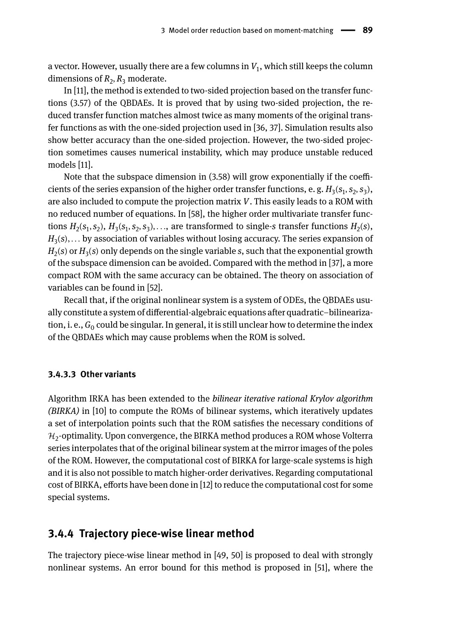a vector. However, usually there are a few columns in  $V_1,$  which still keeps the column dimensions of  $R_2, R_3$  moderate.

In [11], the method is extended to two-sided projection based on the transfer functions (3.57) of the QBDAEs. It is proved that by using two-sided projection, the reduced transfer function matches almost twice as many moments of the original transfer functions as with the one-sided projection used in [36, 37]. Simulation results also show better accuracy than the one-sided projection. However, the two-sided projection sometimes causes numerical instability, which may produce unstable reduced models [11].

Note that the subspace dimension in (3.58) will grow exponentially if the coefficients of the series expansion of the higher order transfer functions, e. g.  $H_3(s_1,s_2,s_3)$ , are also included to compute the projection matrix *V*. This easily leads to a ROM with no reduced number of equations. In [58], the higher order multivariate transfer functions  $H_2(s_1, s_2)$ ,  $H_3(s_1, s_2, s_3)$ ,..., are transformed to single-s transfer functions  $H_2(s)$ , *H*3 (*s*), . . . by association of variables without losing accuracy. The series expansion of  $H_2$ (s) or  $H_3$ (s) only depends on the single variable  $s$ , such that the exponential growth of the subspace dimension can be avoided. Compared with the method in [37], a more compact ROM with the same accuracy can be obtained. The theory on association of variables can be found in [52].

Recall that, if the original nonlinear system is a system of ODEs, the QBDAEs usually constitute a system of differential-algebraic equations after quadratic–bilinearization, i. e.,  $\mathit{G_{0}}$  could be singular. In general, it is still unclear how to determine the index of the QBDAEs which may cause problems when the ROM is solved.

### **3.4.3.3 Other variants**

Algorithm IRKA has been extended to the *bilinear iterative rational Krylov algorithm (BIRKA)* in [10] to compute the ROMs of bilinear systems, which iteratively updates a set of interpolation points such that the ROM satisfies the necessary conditions of  $\mathcal{H}_2$ -optimality. Upon convergence, the BIRKA method produces a ROM whose Volterra series interpolates that of the original bilinear system at the mirror images of the poles of the ROM. However, the computational cost of BIRKA for large-scale systems is high and it is also not possible to match higher-order derivatives. Regarding computational cost of BIRKA, efforts have been done in [12] to reduce the computational cost for some special systems.

### **3.4.4 Trajectory piece-wise linear method**

The trajectory piece-wise linear method in [49, 50] is proposed to deal with strongly nonlinear systems. An error bound for this method is proposed in [51], where the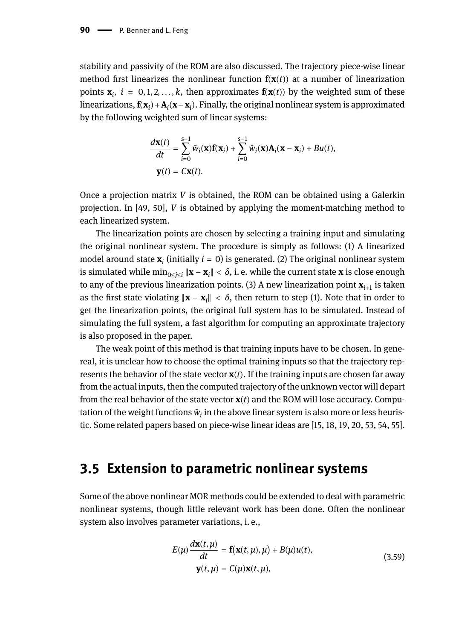stability and passivity of the ROM are also discussed. The trajectory piece-wise linear method first linearizes the nonlinear function  $f(x(t))$  at a number of linearization points  $\mathbf{x}_i$ ,  $i = 0, 1, 2, \ldots, k$ , then approximates  $\mathbf{f}(\mathbf{x}(t))$  by the weighted sum of these linearizations,  $\mathbf{f}(\mathbf{x}_i) + \mathbf{A}_i(\mathbf{x} - \mathbf{x}_i)$ . Finally, the original nonlinear system is approximated by the following weighted sum of linear systems:

$$
\begin{aligned} \frac{d\mathbf{x}(t)}{dt} &= \sum_{i=0}^{s-1} \tilde{w}_i(\mathbf{x}) \mathbf{f}(\mathbf{x}_i) + \sum_{i=0}^{s-1} \tilde{w}_i(\mathbf{x}) \mathbf{A}_i(\mathbf{x} - \mathbf{x}_i) + Bu(t), \\ \mathbf{y}(t) &= C\mathbf{x}(t). \end{aligned}
$$

Once a projection matrix *V* is obtained, the ROM can be obtained using a Galerkin projection. In [49, 50], *V* is obtained by applying the moment-matching method to each linearized system.

The linearization points are chosen by selecting a training input and simulating the original nonlinear system. The procedure is simply as follows: (1) A linearized model around state **x***<sup>i</sup>* (initially *i* = 0) is generated. (2) The original nonlinear system is simulated while  $\min_{0\leq j\leq i}\|\mathbf{x}-\mathbf{x}_i\|<\delta,$  i.e. while the current state  $\mathbf x$  is close enough to any of the previous linearization points. (3) A new linearization point **x***i*+<sup>1</sup> is taken as the first state violating ‖**x** − **x***<sup>i</sup>* ‖ < *δ*, then return to step (1). Note that in order to get the linearization points, the original full system has to be simulated. Instead of simulating the full system, a fast algorithm for computing an approximate trajectory is also proposed in the paper.

The weak point of this method is that training inputs have to be chosen. In genereal, it is unclear how to choose the optimal training inputs so that the trajectory represents the behavior of the state vector  $\mathbf{x}(t)$ . If the training inputs are chosen far away from the actual inputs, then the computed trajectory of the unknown vector will depart from the real behavior of the state vector **x**(*t*) and the ROM will lose accuracy. Computation of the weight functions *w*̃ *i* in the above linear system is also more or less heuristic. Some related papers based on piece-wise linear ideas are [15, 18, 19, 20, 53, 54, 55].

## **3.5 Extension to parametric nonlinear systems**

Some of the above nonlinear MOR methods could be extended to deal with parametric nonlinear systems, though little relevant work has been done. Often the nonlinear system also involves parameter variations, i. e.,

$$
E(\mu) \frac{d\mathbf{x}(t,\mu)}{dt} = \mathbf{f}(\mathbf{x}(t,\mu),\mu) + B(\mu)u(t),
$$
  

$$
\mathbf{y}(t,\mu) = C(\mu)\mathbf{x}(t,\mu),
$$
 (3.59)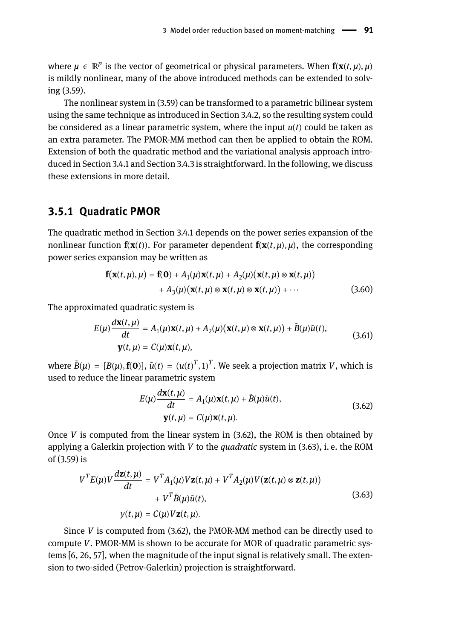where  $\mu \in \mathbb{R}^p$  is the vector of geometrical or physical parameters. When  $\mathbf{f}(\mathbf{x}(t,\mu),\mu)$ is mildly nonlinear, many of the above introduced methods can be extended to solving (3.59).

The nonlinear system in (3.59) can be transformed to a parametric bilinear system using the same technique as introduced in Section 3.4.2, so the resulting system could be considered as a linear parametric system, where the input  $u(t)$  could be taken as an extra parameter. The PMOR-MM method can then be applied to obtain the ROM. Extension of both the quadratic method and the variational analysis approach introduced in Section 3.4.1 and Section 3.4.3 is straightforward. In the following, we discuss these extensions in more detail.

### **3.5.1 Quadratic PMOR**

The quadratic method in Section 3.4.1 depends on the power series expansion of the nonlinear function  $f(x(t))$ . For parameter dependent  $f(x(t, \mu), \mu)$ , the corresponding power series expansion may be written as

$$
\mathbf{f}(\mathbf{x}(t,\mu),\mu) = \mathbf{f}(\mathbf{0}) + A_1(\mu)\mathbf{x}(t,\mu) + A_2(\mu)(\mathbf{x}(t,\mu) \otimes \mathbf{x}(t,\mu)) + A_3(\mu)(\mathbf{x}(t,\mu) \otimes \mathbf{x}(t,\mu) \otimes \mathbf{x}(t,\mu)) + \cdots
$$
(3.60)

The approximated quadratic system is

$$
E(\mu)\frac{d\mathbf{x}(t,\mu)}{dt} = A_1(\mu)\mathbf{x}(t,\mu) + A_2(\mu)(\mathbf{x}(t,\mu) \otimes \mathbf{x}(t,\mu)) + \tilde{B}(\mu)\tilde{u}(t),
$$
  

$$
\mathbf{y}(t,\mu) = C(\mu)\mathbf{x}(t,\mu),
$$
 (3.61)

where  $\tilde{B}(\mu) = [B(\mu), \mathbf{f(0)}], \tilde{u}(t) = (u(t)^T, 1)^T$ . We seek a projection matrix *V*, which is used to reduce the linear parametric system

$$
E(\mu)\frac{d\mathbf{x}(t,\mu)}{dt} = A_1(\mu)\mathbf{x}(t,\mu) + \tilde{B}(\mu)\tilde{u}(t),
$$
  

$$
\mathbf{y}(t,\mu) = C(\mu)\mathbf{x}(t,\mu).
$$
 (3.62)

Once  $V$  is computed from the linear system in  $(3.62)$ , the ROM is then obtained by applying a Galerkin projection with *V* to the *quadratic* system in (3.63), i. e. the ROM of (3.59) is

$$
V^{T}E(\mu)V\frac{d\mathbf{z}(t,\mu)}{dt} = V^{T}A_{1}(\mu)V\mathbf{z}(t,\mu) + V^{T}A_{2}(\mu)V(\mathbf{z}(t,\mu) \otimes \mathbf{z}(t,\mu)) + V^{T}\tilde{B}(\mu)\tilde{u}(t),
$$
\n
$$
y(t,\mu) = C(\mu)V\mathbf{z}(t,\mu).
$$
\n(3.63)

Since *V* is computed from (3.62), the PMOR-MM method can be directly used to compute *V*. PMOR-MM is shown to be accurate for MOR of quadratic parametric systems [6, 26, 57], when the magnitude of the input signal is relatively small. The extension to two-sided (Petrov-Galerkin) projection is straightforward.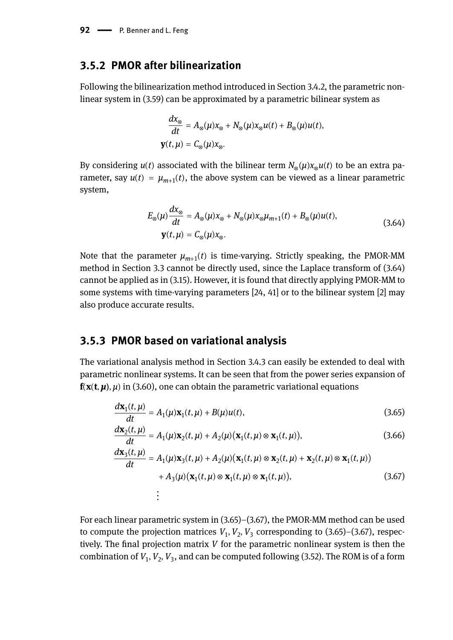### **3.5.2 PMOR after bilinearization**

Following the bilinearization method introduced in Section 3.4.2, the parametric nonlinear system in (3.59) can be approximated by a parametric bilinear system as

$$
\frac{dx_{\otimes}}{dt} = A_{\otimes}(\mu)x_{\otimes} + N_{\otimes}(\mu)x_{\otimes}u(t) + B_{\otimes}(\mu)u(t),
$$
  

$$
\mathbf{y}(t,\mu) = C_{\otimes}(\mu)x_{\otimes}.
$$

By considering *u*(*t*) associated with the bilinear term *N*<sup>⊗</sup> (*μ*)*x*⊗*u*(*t*) to be an extra pa $r$ ameter, say  $u(t) = \mu_{m+1}(t)$ , the above system can be viewed as a linear parametric system,

$$
E_{\otimes}(\mu)\frac{dx_{\otimes}}{dt} = A_{\otimes}(\mu)x_{\otimes} + N_{\otimes}(\mu)x_{\otimes}\mu_{m+1}(t) + B_{\otimes}(\mu)u(t),
$$
  

$$
\mathbf{y}(t,\mu) = C_{\otimes}(\mu)x_{\otimes}.
$$
 (3.64)

Note that the parameter  $\mu_{m+1}(t)$  is time-varying. Strictly speaking, the PMOR-MM method in Section 3.3 cannot be directly used, since the Laplace transform of (3.64) cannot be applied as in (3.15). However, it is found that directly applying PMOR-MM to some systems with time-varying parameters [24, 41] or to the bilinear system [2] may also produce accurate results.

### **3.5.3 PMOR based on variational analysis**

The variational analysis method in Section 3.4.3 can easily be extended to deal with parametric nonlinear systems. It can be seen that from the power series expansion of  $f(x(t, \mu), \mu)$  in (3.60), one can obtain the parametric variational equations

$$
\frac{d\mathbf{x}_1(t,\mu)}{dt} = A_1(\mu)\mathbf{x}_1(t,\mu) + B(\mu)u(t),\tag{3.65}
$$

$$
\frac{d\mathbf{x}_2(t,\mu)}{dt} = A_1(\mu)\mathbf{x}_2(t,\mu) + A_2(\mu)(\mathbf{x}_1(t,\mu) \otimes \mathbf{x}_1(t,\mu)),
$$
\n(3.66)

$$
\frac{d\mathbf{x}_3(t,\mu)}{dt} = A_1(\mu)\mathbf{x}_3(t,\mu) + A_2(\mu)(\mathbf{x}_1(t,\mu) \otimes \mathbf{x}_2(t,\mu) + \mathbf{x}_2(t,\mu) \otimes \mathbf{x}_1(t,\mu))
$$
  
+  $A_3(\mu)(\mathbf{x}_1(t,\mu) \otimes \mathbf{x}_1(t,\mu) \otimes \mathbf{x}_1(t,\mu)),$  (3.67)

For each linear parametric system in (3.65)–(3.67), the PMOR-MM method can be used to compute the projection matrices  $V_1, V_2, V_3$  corresponding to  $(3.65)$ – $(3.67)$ , respectively. The final projection matrix *V* for the parametric nonlinear system is then the combination of  $V_1, V_2, V_3$ , and can be computed following (3.52). The ROM is of a form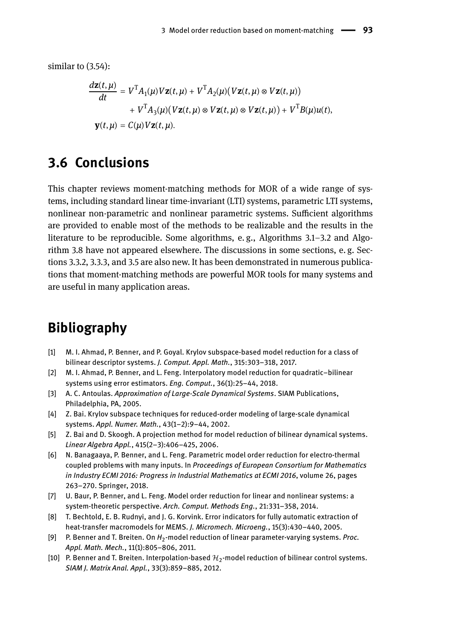similar to (3.54):

$$
\frac{d\mathbf{z}(t,\mu)}{dt} = V^{\mathrm{T}}A_1(\mu)V\mathbf{z}(t,\mu) + V^{\mathrm{T}}A_2(\mu)(V\mathbf{z}(t,\mu) \otimes V\mathbf{z}(t,\mu))
$$

$$
+ V^{\mathrm{T}}A_3(\mu)(V\mathbf{z}(t,\mu) \otimes V\mathbf{z}(t,\mu) \otimes V\mathbf{z}(t,\mu)) + V^{\mathrm{T}}B(\mu)u(t),
$$

$$
\mathbf{y}(t,\mu) = C(\mu)V\mathbf{z}(t,\mu).
$$

# **3.6 Conclusions**

This chapter reviews moment-matching methods for MOR of a wide range of systems, including standard linear time-invariant (LTI) systems, parametric LTI systems, nonlinear non-parametric and nonlinear parametric systems. Sufficient algorithms are provided to enable most of the methods to be realizable and the results in the literature to be reproducible. Some algorithms, e. g., Algorithms 3.1–3.2 and Algorithm 3.8 have not appeared elsewhere. The discussions in some sections, e. g. Sections 3.3.2, 3.3.3, and 3.5 are also new. It has been demonstrated in numerous publications that moment-matching methods are powerful MOR tools for many systems and are useful in many application areas.

# **Bibliography**

- [1] M. I. Ahmad, P. Benner, and P. Goyal. Krylov subspace-based model reduction for a class of bilinear descriptor systems. *J. Comput. Appl. Math.*, 315:303–318, 2017.
- [2] M. I. Ahmad, P. Benner, and L. Feng. Interpolatory model reduction for quadratic–bilinear systems using error estimators. *Eng. Comput.*, 36(1):25–44, 2018.
- [3] A. C. Antoulas. *Approximation of Large-Scale Dynamical Systems*. SIAM Publications, Philadelphia, PA, 2005.
- [4] Z. Bai. Krylov subspace techniques for reduced-order modeling of large-scale dynamical systems. *Appl. Numer. Math.*, 43(1–2):9–44, 2002.
- [5] Z. Bai and D. Skoogh. A projection method for model reduction of bilinear dynamical systems. *Linear Algebra Appl.*, 415(2–3):406–425, 2006.
- [6] N. Banagaaya, P. Benner, and L. Feng. Parametric model order reduction for electro-thermal coupled problems with many inputs. In *Proceedings of European Consortium for Mathematics in Industry ECMI 2016: Progress in Industrial Mathematics at ECMI 2016*, volume 26, pages 263–270. Springer, 2018.
- [7] U. Baur, P. Benner, and L. Feng. Model order reduction for linear and nonlinear systems: a system-theoretic perspective. *Arch. Comput. Methods Eng.*, 21:331–358, 2014.
- [8] T. Bechtold, E. B. Rudnyi, and J. G. Korvink. Error indicators for fully automatic extraction of heat-transfer macromodels for MEMS. *J. Micromech. Microeng.*, 15(3):430–440, 2005.
- [9] P. Benner and T. Breiten. On  $H_2$ -model reduction of linear parameter-varying systems. *Proc*. *Appl. Math. Mech.*, 11(1):805–806, 2011.
- [10]  $\,$  P. Benner and T. Breiten. Interpolation-based  $\mathcal{H}_2$ -model reduction of bilinear control systems. *SIAM J. Matrix Anal. Appl.*, 33(3):859–885, 2012.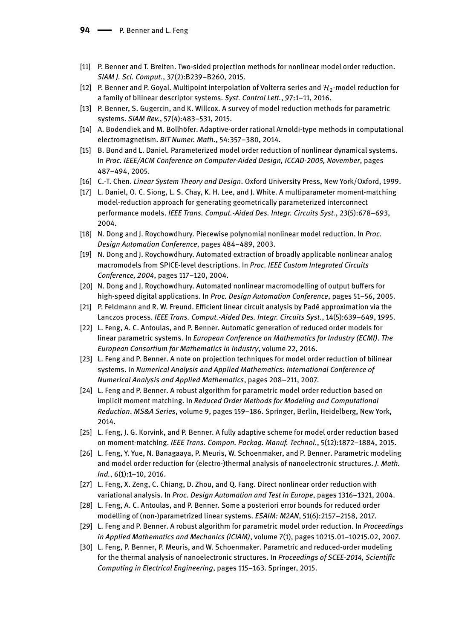- [11] P. Benner and T. Breiten. Two-sided projection methods for nonlinear model order reduction. *SIAM J. Sci. Comput.*, 37(2):B239–B260, 2015.
- [12]  $\:$  P. Benner and P. Goyal. Multipoint interpolation of Volterra series and  $\mathcal{H}_2$ -model reduction for a family of bilinear descriptor systems. *Syst. Control Lett.*, 97:1–11, 2016.
- [13] P. Benner, S. Gugercin, and K. Willcox. A survey of model reduction methods for parametric systems. *SIAM Rev.*, 57(4):483–531, 2015.
- [14] A. Bodendiek and M. Bollhöfer. Adaptive-order rational Arnoldi-type methods in computational electromagnetism. *BIT Numer. Math.*, 54:357–380, 2014.
- [15] B. Bond and L. Daniel. Parameterized model order reduction of nonlinear dynamical systems. In *Proc. IEEE/ACM Conference on Computer-Aided Design, ICCAD-2005, November*, pages 487–494, 2005.
- [16] C.-T. Chen. *Linear System Theory and Design*. Oxford University Press, New York/Oxford, 1999.
- [17] L. Daniel, O. C. Siong, L. S. Chay, K. H. Lee, and J. White. A multiparameter moment-matching model-reduction approach for generating geometrically parameterized interconnect performance models. *IEEE Trans. Comput.-Aided Des. Integr. Circuits Syst.*, 23(5):678–693, 2004.
- [18] N. Dong and J. Roychowdhury. Piecewise polynomial nonlinear model reduction. In *Proc. Design Automation Conference*, pages 484–489, 2003.
- [19] N. Dong and J. Roychowdhury. Automated extraction of broadly applicable nonlinear analog macromodels from SPICE-level descriptions. In *Proc. IEEE Custom Integrated Circuits Conference, 2004*, pages 117–120, 2004.
- [20] N. Dong and J. Roychowdhury. Automated nonlinear macromodelling of output buffers for high-speed digital applications. In *Proc. Design Automation Conference*, pages 51–56, 2005.
- [21] P. Feldmann and R. W. Freund. Efficient linear circuit analysis by Padé approximation via the Lanczos process. *IEEE Trans. Comput.-Aided Des. Integr. Circuits Syst.*, 14(5):639–649, 1995.
- [22] L. Feng, A. C. Antoulas, and P. Benner. Automatic generation of reduced order models for linear parametric systems. In *European Conference on Mathematics for Industry (ECMI)*. *The European Consortium for Mathematics in Industry*, volume 22, 2016.
- [23] L. Feng and P. Benner. A note on projection techniques for model order reduction of bilinear systems. In *Numerical Analysis and Applied Mathematics: International Conference of Numerical Analysis and Applied Mathematics*, pages 208–211, 2007.
- [24] L. Feng and P. Benner. A robust algorithm for parametric model order reduction based on implicit moment matching. In *Reduced Order Methods for Modeling and Computational Reduction*. *MS&A Series*, volume 9, pages 159–186. Springer, Berlin, Heidelberg, New York, 2014.
- [25] L. Feng, J. G. Korvink, and P. Benner. A fully adaptive scheme for model order reduction based on moment-matching. *IEEE Trans. Compon. Packag. Manuf. Technol.*, 5(12):1872–1884, 2015.
- [26] L. Feng, Y. Yue, N. Banagaaya, P. Meuris, W. Schoenmaker, and P. Benner. Parametric modeling and model order reduction for (electro-)thermal analysis of nanoelectronic structures. *J. Math. Ind.*, 6(1):1–10, 2016.
- [27] L. Feng, X. Zeng, C. Chiang, D. Zhou, and Q. Fang. Direct nonlinear order reduction with variational analysis. In *Proc. Design Automation and Test in Europe*, pages 1316–1321, 2004.
- [28] L. Feng, A. C. Antoulas, and P. Benner. Some a posteriori error bounds for reduced order modelling of (non-)parametrized linear systems. *ESAIM: M2AN*, 51(6):2157–2158, 2017.
- [29] L. Feng and P. Benner. A robust algorithm for parametric model order reduction. In *Proceedings in Applied Mathematics and Mechanics (ICIAM)*, volume 7(1), pages 10215.01–10215.02, 2007.
- [30] L. Feng, P. Benner, P. Meuris, and W. Schoenmaker. Parametric and reduced-order modeling for the thermal analysis of nanoelectronic structures. In *Proceedings of SCEE-2014, Scientific Computing in Electrical Engineering*, pages 115–163. Springer, 2015.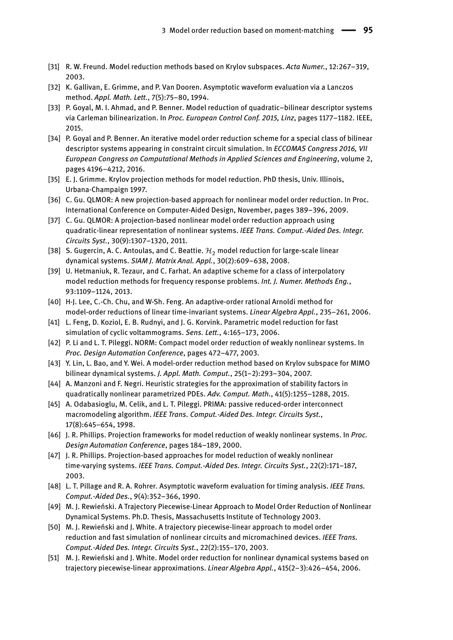- [31] R. W. Freund. Model reduction methods based on Krylov subspaces. *Acta Numer.*, 12:267–319, 2003.
- [32] K. Gallivan, E. Grimme, and P. Van Dooren. Asymptotic waveform evaluation via a Lanczos method. *Appl. Math. Lett.*, 7(5):75–80, 1994.
- [33] P. Goyal, M. I. Ahmad, and P. Benner. Model reduction of quadratic–bilinear descriptor systems via Carleman bilinearization. In *Proc. European Control Conf. 2015, Linz*, pages 1177–1182. IEEE, 2015.
- [34] P. Goyal and P. Benner. An iterative model order reduction scheme for a special class of bilinear descriptor systems appearing in constraint circuit simulation. In *ECCOMAS Congress 2016, VII European Congress on Computational Methods in Applied Sciences and Engineering*, volume 2, pages 4196–4212, 2016.
- [35] E. J. Grimme. Krylov projection methods for model reduction. PhD thesis, Univ. Illinois, Urbana-Champaign 1997.
- [36] C. Gu. QLMOR: A new projection-based approach for nonlinear model order reduction. In Proc. International Conference on Computer-Aided Design, November, pages 389–396, 2009.
- [37] C. Gu. QLMOR: A projection-based nonlinear model order reduction approach using quadratic-linear representation of nonlinear systems. *IEEE Trans. Comput.-Aided Des. Integr. Circuits Syst.*, 30(9):1307–1320, 2011.
- [38] S. Gugercin, A. C. Antoulas, and C. Beattie.  $\mathcal{H}_2$  model reduction for large-scale linear dynamical systems. *SIAM J. Matrix Anal. Appl.*, 30(2):609–638, 2008.
- [39] U. Hetmaniuk, R. Tezaur, and C. Farhat. An adaptive scheme for a class of interpolatory model reduction methods for frequency response problems. *Int. J. Numer. Methods Eng.*, 93:1109–1124, 2013.
- [40] H-J. Lee, C.-Ch. Chu, and W-Sh. Feng. An adaptive-order rational Arnoldi method for model-order reductions of linear time-invariant systems. *Linear Algebra Appl.*, 235–261, 2006.
- [41] L. Feng, D. Koziol, E. B. Rudnyi, and J. G. Korvink. Parametric model reduction for fast simulation of cyclic voltammograms. *Sens. Lett.*, 4:165–173, 2006.
- [42] P. Li and L. T. Pileggi. NORM: Compact model order reduction of weakly nonlinear systems. In *Proc. Design Automation Conference*, pages 472–477, 2003.
- [43] Y. Lin, L. Bao, and Y. Wei. A model-order reduction method based on Krylov subspace for MIMO bilinear dynamical systems. *J. Appl. Math. Comput.*, 25(1–2):293–304, 2007.
- [44] A. Manzoni and F. Negri. Heuristic strategies for the approximation of stability factors in quadratically nonlinear parametrized PDEs. *Adv. Comput. Math.*, 41(5):1255–1288, 2015.
- [45] A. Odabasioglu, M. Celik, and L. T. Pileggi. PRIMA: passive reduced-order interconnect macromodeling algorithm. *IEEE Trans. Comput.-Aided Des. Integr. Circuits Syst.*, 17(8):645–654, 1998.
- [46] J. R. Phillips. Projection frameworks for model reduction of weakly nonlinear systems. In *Proc. Design Automation Conference*, pages 184–189, 2000.
- [47] J. R. Phillips. Projection-based approaches for model reduction of weakly nonlinear time-varying systems. *IEEE Trans. Comput.-Aided Des. Integr. Circuits Syst.*, 22(2):171–187, 2003.
- [48] L. T. Pillage and R. A. Rohrer. Asymptotic waveform evaluation for timing analysis. *IEEE Trans. Comput.-Aided Des.*, 9(4):352–366, 1990.
- [49] M. J. Rewieński. A Trajectory Piecewise-Linear Approach to Model Order Reduction of Nonlinear Dynamical Systems. Ph.D. Thesis, Massachusetts Institute of Technology 2003.
- [50] M. J. Rewieński and J. White. A trajectory piecewise-linear approach to model order reduction and fast simulation of nonlinear circuits and micromachined devices. *IEEE Trans. Comput.-Aided Des. Integr. Circuits Syst.*, 22(2):155–170, 2003.
- [51] M. J. Rewieński and J. White. Model order reduction for nonlinear dynamical systems based on trajectory piecewise-linear approximations. *Linear Algebra Appl.*, 415(2–3):426–454, 2006.